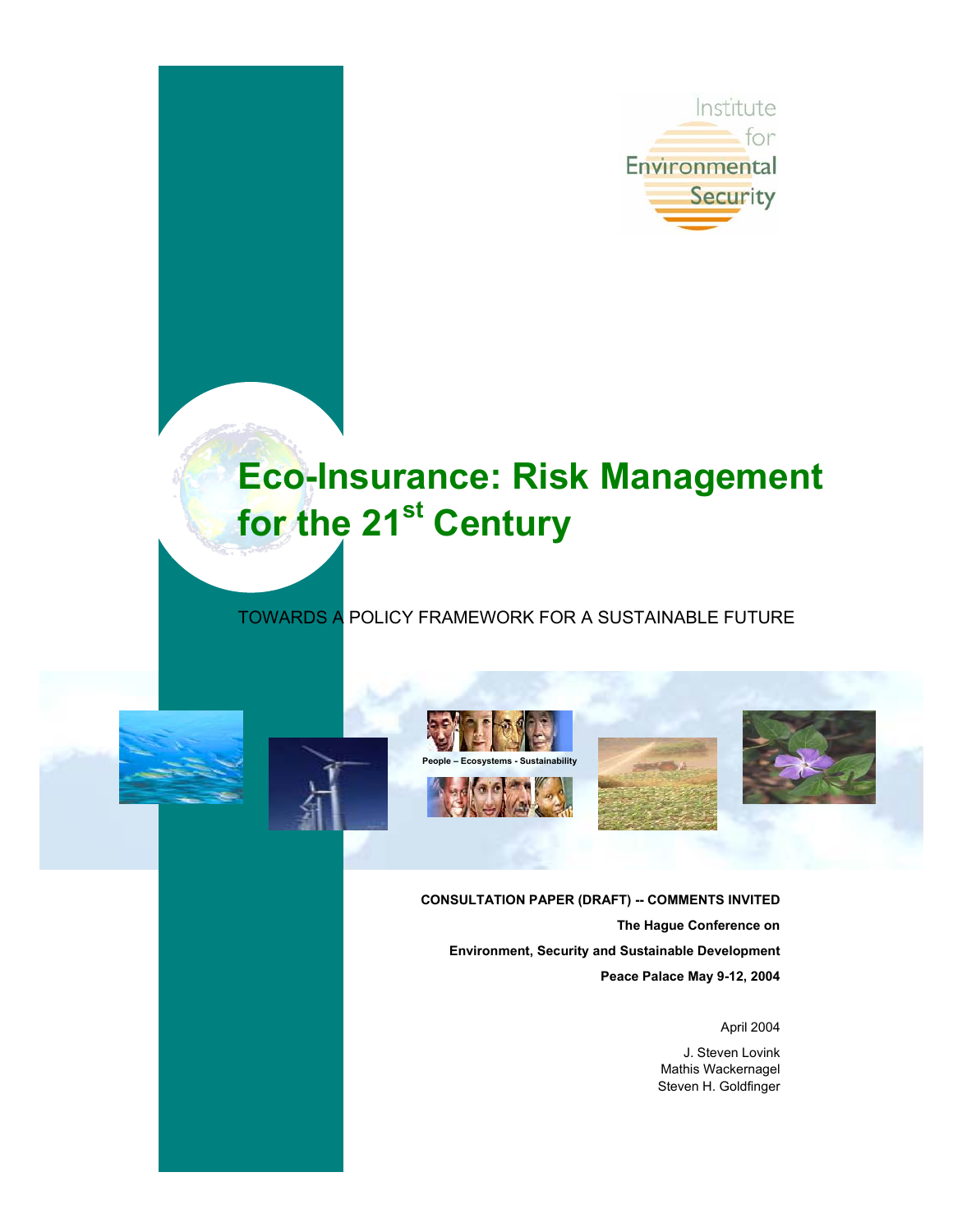

# **Eco-Insurance: Risk Management for the 21st Century**

# TOWARDS A POLICY FRAMEWORK FOR A SUSTAINABLE FUTURE











**CONSULTATION PAPER (DRAFT) -- COMMENTS INVITED The Hague Conference on Environment, Security and Sustainable Development Peace Palace May 9-12, 2004** 

April 2004

J. Steven Lovink Mathis Wackernagel Steven H. Goldfinger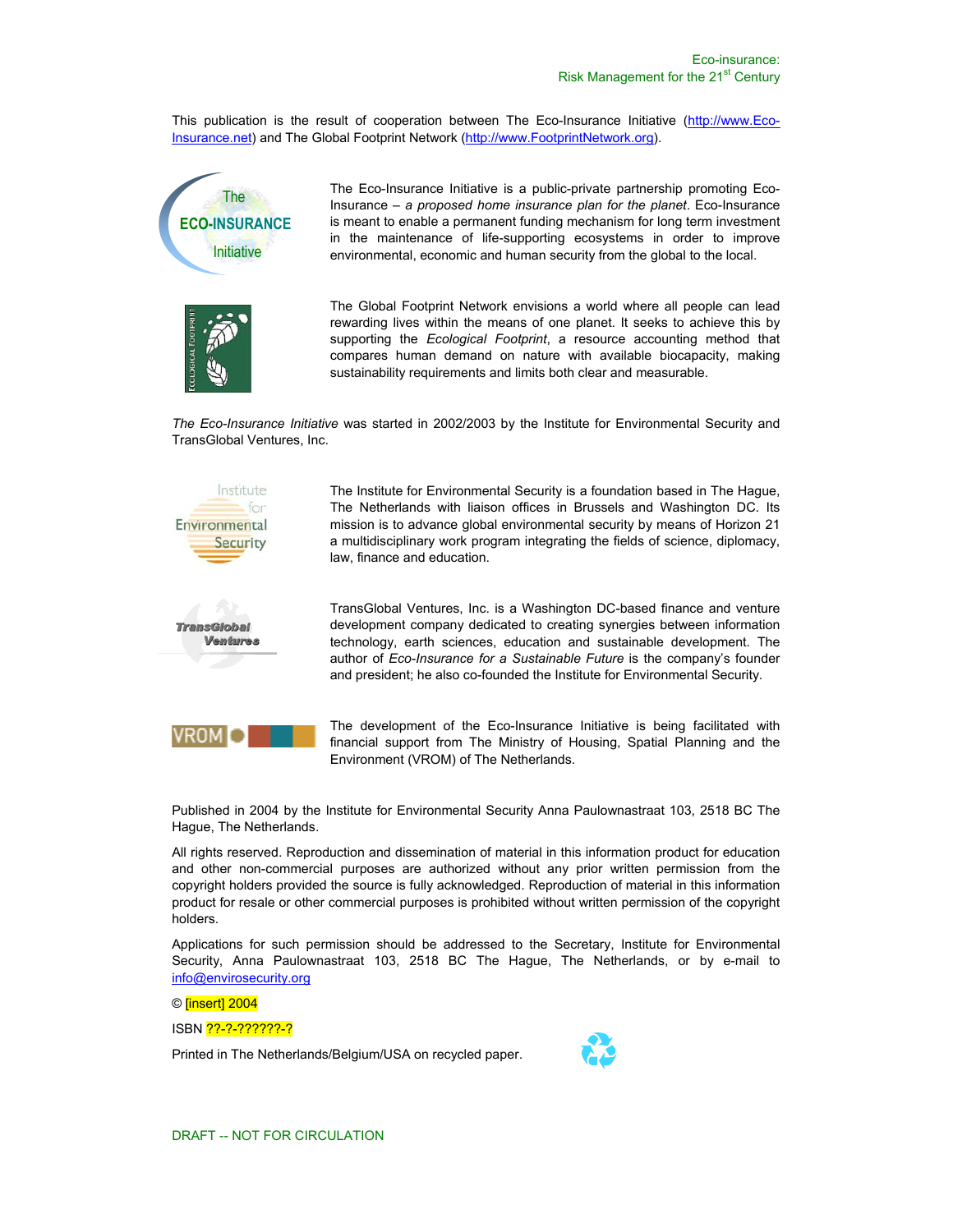This publication is the result of cooperation between The Eco-Insurance Initiative (http://www.Eco-Insurance.net) and The Global Footprint Network (http://www.FootprintNetwork.org).



The Eco-Insurance Initiative is a public-private partnership promoting Eco-Insurance – *a proposed home insurance plan for the planet*. Eco-Insurance is meant to enable a permanent funding mechanism for long term investment in the maintenance of life-supporting ecosystems in order to improve environmental, economic and human security from the global to the local.

The Global Footprint Network envisions a world where all people can lead rewarding lives within the means of one planet. It seeks to achieve this by supporting the *Ecological Footprint*, a resource accounting method that compares human demand on nature with available biocapacity, making sustainability requirements and limits both clear and measurable.

*The Eco-Insurance Initiative* was started in 2002/2003 by the Institute for Environmental Security and TransGlobal Ventures, Inc.



The Institute for Environmental Security is a foundation based in The Hague, The Netherlands with liaison offices in Brussels and Washington DC. Its mission is to advance global environmental security by means of Horizon 21 a multidisciplinary work program integrating the fields of science, diplomacy, law, finance and education.

TransGlobal Ventures, Inc. is a Washington DC-based finance and venture development company dedicated to creating synergies between information technology, earth sciences, education and sustainable development. The author of *Eco-Insurance for a Sustainable Future* is the company's founder and president; he also co-founded the Institute for Environmental Security.



The development of the Eco-Insurance Initiative is being facilitated with financial support from The Ministry of Housing, Spatial Planning and the Environment (VROM) of The Netherlands.

Published in 2004 by the Institute for Environmental Security Anna Paulownastraat 103, 2518 BC The Hague, The Netherlands.

All rights reserved. Reproduction and dissemination of material in this information product for education and other non-commercial purposes are authorized without any prior written permission from the copyright holders provided the source is fully acknowledged. Reproduction of material in this information product for resale or other commercial purposes is prohibited without written permission of the copyright holders.

Applications for such permission should be addressed to the Secretary, Institute for Environmental Security, Anna Paulownastraat 103, 2518 BC The Hague, The Netherlands, or by e-mail to info@envirosecurity.org

© [insert] 2004

ISBN <mark>??-?-???????-?</mark>

Printed in The Netherlands/Belgium/USA on recycled paper.

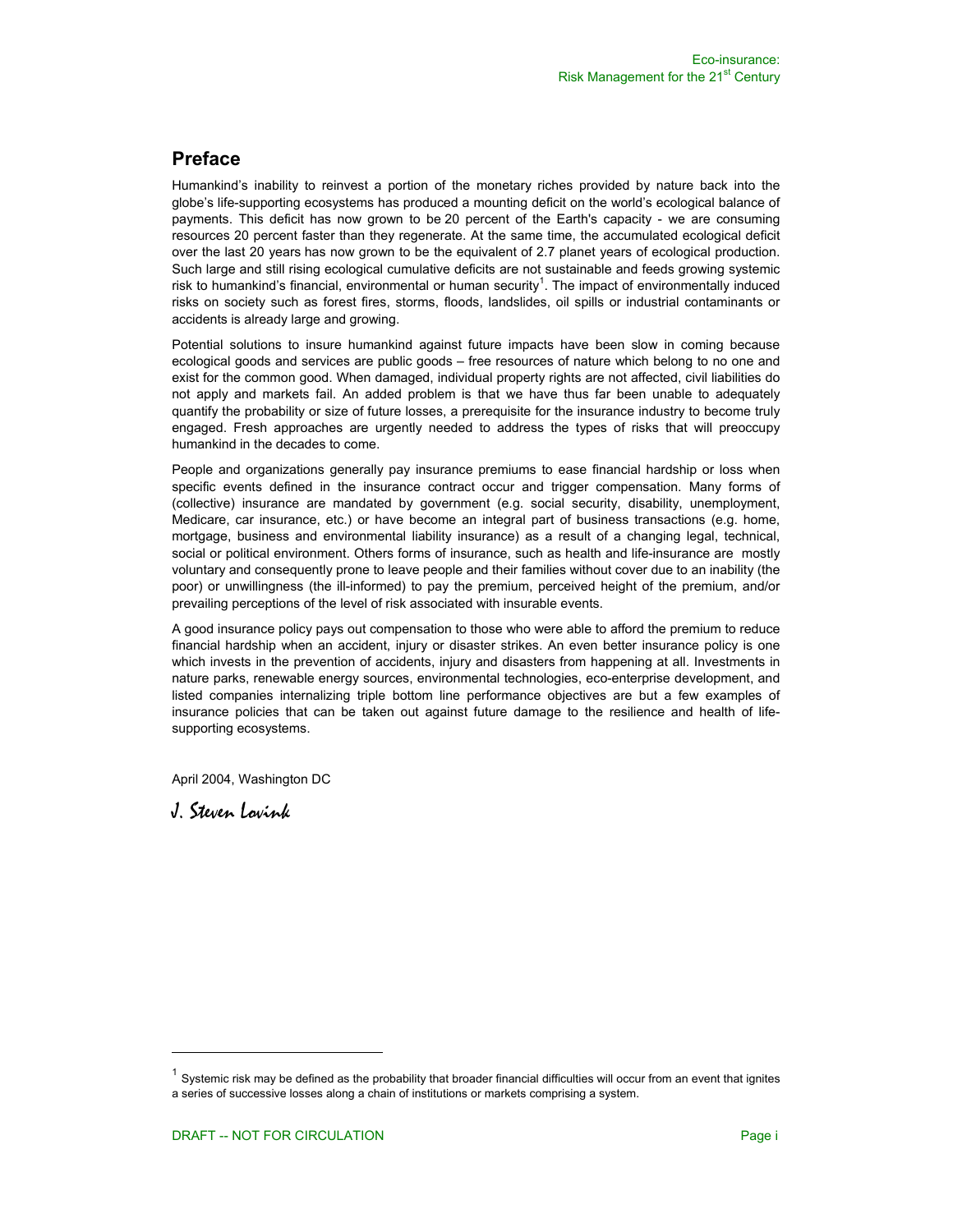# **Preface**

Humankind's inability to reinvest a portion of the monetary riches provided by nature back into the globe's life-supporting ecosystems has produced a mounting deficit on the world's ecological balance of payments. This deficit has now grown to be 20 percent of the Earth's capacity - we are consuming resources 20 percent faster than they regenerate. At the same time, the accumulated ecological deficit over the last 20 years has now grown to be the equivalent of 2.7 planet years of ecological production. Such large and still rising ecological cumulative deficits are not sustainable and feeds growing systemic risk to humankind's financial, environmental or human security<sup>1</sup>. The impact of environmentally induced risks on society such as forest fires, storms, floods, landslides, oil spills or industrial contaminants or accidents is already large and growing.

Potential solutions to insure humankind against future impacts have been slow in coming because ecological goods and services are public goods – free resources of nature which belong to no one and exist for the common good. When damaged, individual property rights are not affected, civil liabilities do not apply and markets fail. An added problem is that we have thus far been unable to adequately quantify the probability or size of future losses, a prerequisite for the insurance industry to become truly engaged. Fresh approaches are urgently needed to address the types of risks that will preoccupy humankind in the decades to come.

People and organizations generally pay insurance premiums to ease financial hardship or loss when specific events defined in the insurance contract occur and trigger compensation. Many forms of (collective) insurance are mandated by government (e.g. social security, disability, unemployment, Medicare, car insurance, etc.) or have become an integral part of business transactions (e.g. home, mortgage, business and environmental liability insurance) as a result of a changing legal, technical, social or political environment. Others forms of insurance, such as health and life-insurance are mostly voluntary and consequently prone to leave people and their families without cover due to an inability (the poor) or unwillingness (the ill-informed) to pay the premium, perceived height of the premium, and/or prevailing perceptions of the level of risk associated with insurable events.

A good insurance policy pays out compensation to those who were able to afford the premium to reduce financial hardship when an accident, injury or disaster strikes. An even better insurance policy is one which invests in the prevention of accidents, injury and disasters from happening at all. Investments in nature parks, renewable energy sources, environmental technologies, eco-enterprise development, and listed companies internalizing triple bottom line performance objectives are but a few examples of insurance policies that can be taken out against future damage to the resilience and health of lifesupporting ecosystems.

April 2004, Washington DC

J. Steven Lovink

j

 $1$  Systemic risk may be defined as the probability that broader financial difficulties will occur from an event that ignites a series of successive losses along a chain of institutions or markets comprising a system.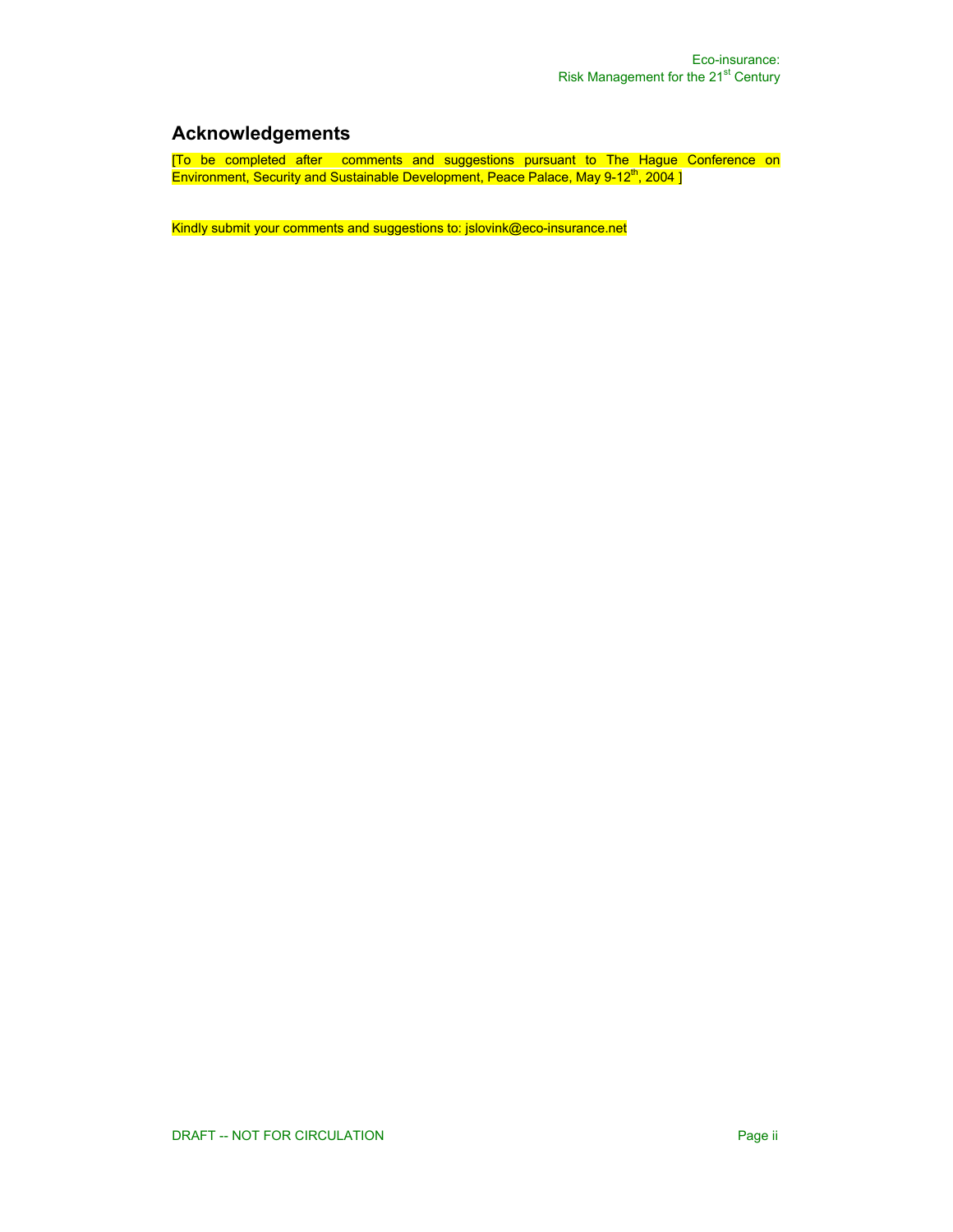# **Acknowledgements**

[To be completed after comments and suggestions pursuant to The Hague Conference on Environment, Security and Sustainable Development, Peace Palace, May 9-12<sup>th</sup>, 2004 ]

Kindly submit your comments and suggestions to: jslovink@eco-insurance.net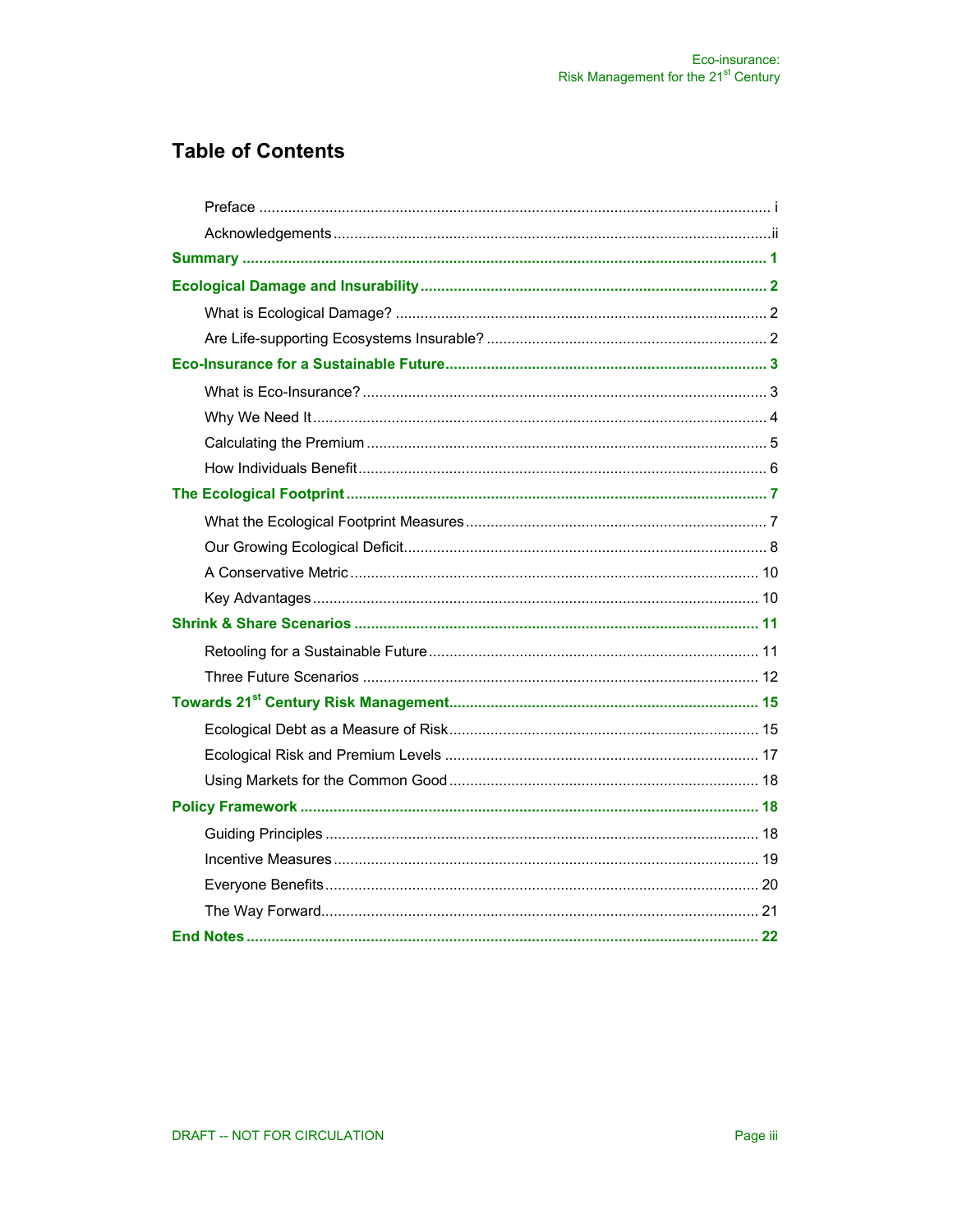# **Table of Contents**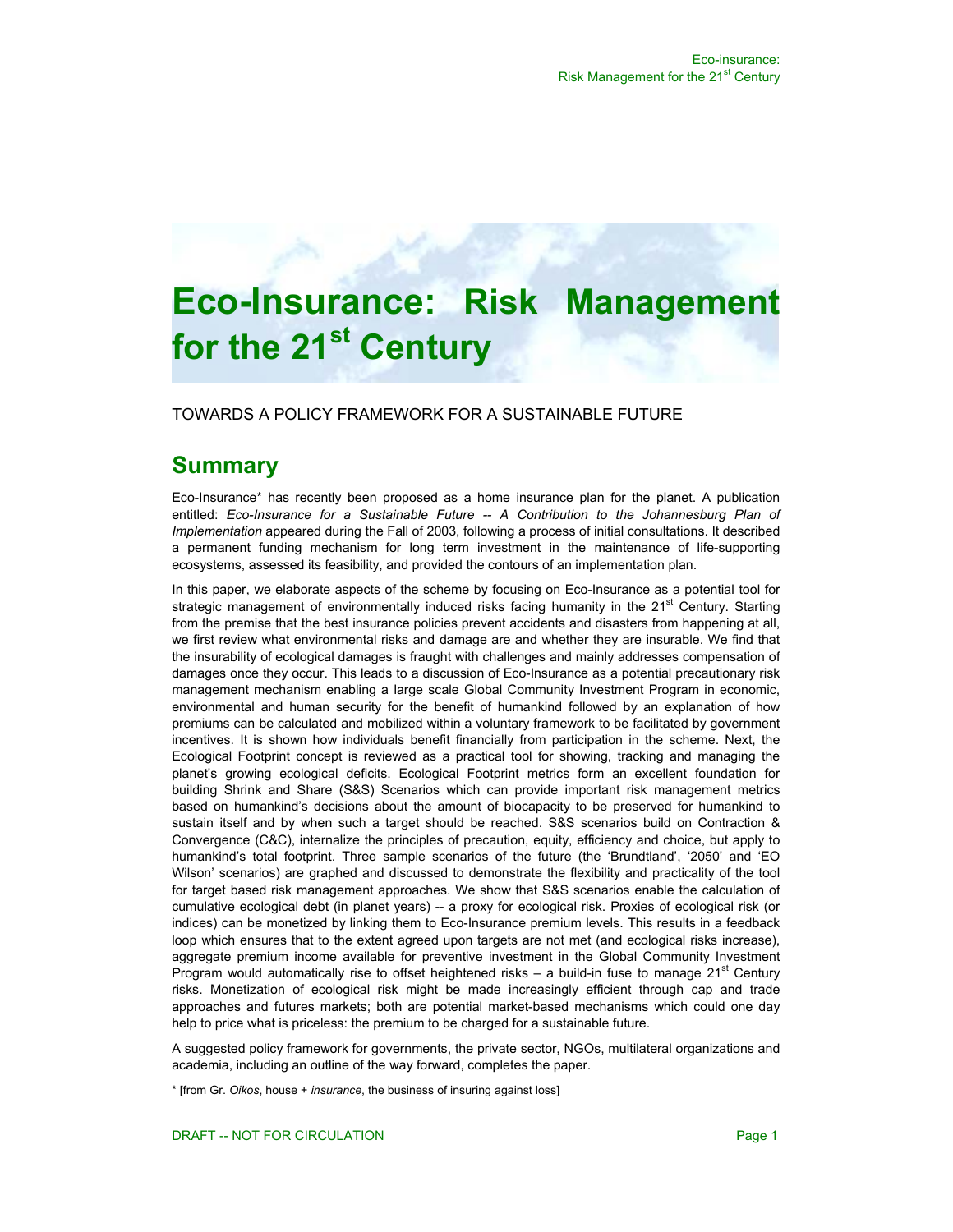# **Eco-Insurance: Risk Managemer for the 21st Century**

TOWARDS A POLICY FRAMEWORK FOR A SUSTAINABLE FUTURE

# **Summary**

Eco-Insurance\* has recently been proposed as a home insurance plan for the planet. A publication entitled: *Eco-Insurance for a Sustainable Future -- A Contribution to the Johannesburg Plan of Implementation* appeared during the Fall of 2003, following a process of initial consultations. It described a permanent funding mechanism for long term investment in the maintenance of life-supporting ecosystems, assessed its feasibility, and provided the contours of an implementation plan.

In this paper, we elaborate aspects of the scheme by focusing on Eco-Insurance as a potential tool for strategic management of environmentally induced risks facing humanity in the 21<sup>st</sup> Century. Starting from the premise that the best insurance policies prevent accidents and disasters from happening at all, we first review what environmental risks and damage are and whether they are insurable. We find that the insurability of ecological damages is fraught with challenges and mainly addresses compensation of damages once they occur. This leads to a discussion of Eco-Insurance as a potential precautionary risk management mechanism enabling a large scale Global Community Investment Program in economic, environmental and human security for the benefit of humankind followed by an explanation of how premiums can be calculated and mobilized within a voluntary framework to be facilitated by government incentives. It is shown how individuals benefit financially from participation in the scheme. Next, the Ecological Footprint concept is reviewed as a practical tool for showing, tracking and managing the planet's growing ecological deficits. Ecological Footprint metrics form an excellent foundation for building Shrink and Share (S&S) Scenarios which can provide important risk management metrics based on humankind's decisions about the amount of biocapacity to be preserved for humankind to sustain itself and by when such a target should be reached. S&S scenarios build on Contraction & Convergence (C&C), internalize the principles of precaution, equity, efficiency and choice, but apply to humankind's total footprint. Three sample scenarios of the future (the 'Brundtland', '2050' and 'EO Wilson' scenarios) are graphed and discussed to demonstrate the flexibility and practicality of the tool for target based risk management approaches. We show that S&S scenarios enable the calculation of cumulative ecological debt (in planet years) -- a proxy for ecological risk. Proxies of ecological risk (or indices) can be monetized by linking them to Eco-Insurance premium levels. This results in a feedback loop which ensures that to the extent agreed upon targets are not met (and ecological risks increase), aggregate premium income available for preventive investment in the Global Community Investment Program would automatically rise to offset heightened risks – a build-in fuse to manage  $21<sup>st</sup>$  Century risks. Monetization of ecological risk might be made increasingly efficient through cap and trade approaches and futures markets; both are potential market-based mechanisms which could one day help to price what is priceless: the premium to be charged for a sustainable future.

A suggested policy framework for governments, the private sector, NGOs, multilateral organizations and academia, including an outline of the way forward, completes the paper.

\* [from Gr. *Oikos*, house + *insurance*, the business of insuring against loss]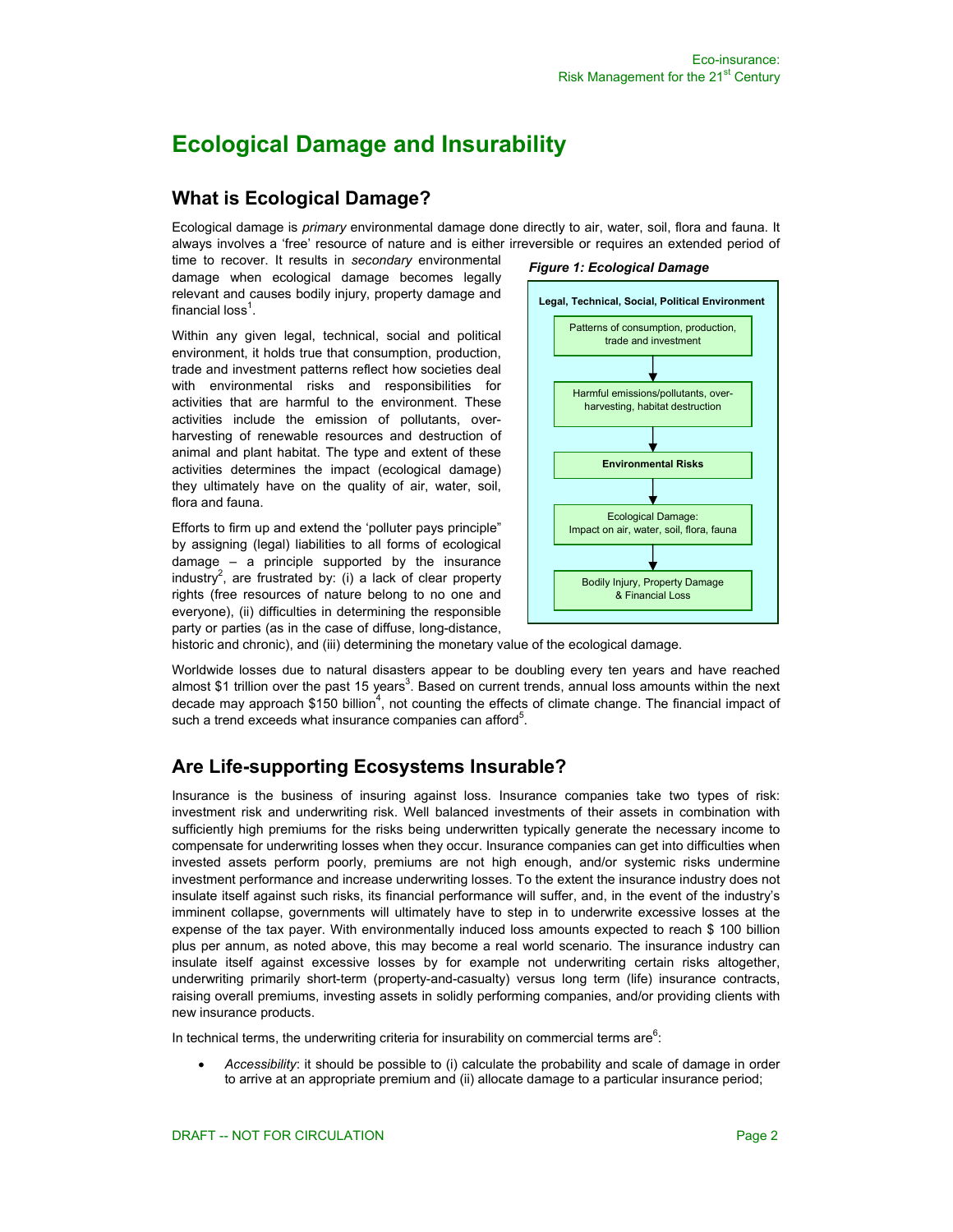# **Ecological Damage and Insurability**

### **What is Ecological Damage?**

Ecological damage is *primary* environmental damage done directly to air, water, soil, flora and fauna. It always involves a 'free' resource of nature and is either irreversible or requires an extended period of

time to recover. It results in *secondary* environmental damage when ecological damage becomes legally relevant and causes bodily injury, property damage and financial loss $^1$ .

Within any given legal, technical, social and political environment, it holds true that consumption, production, trade and investment patterns reflect how societies deal with environmental risks and responsibilities for activities that are harmful to the environment. These activities include the emission of pollutants, overharvesting of renewable resources and destruction of animal and plant habitat. The type and extent of these activities determines the impact (ecological damage) they ultimately have on the quality of air, water, soil, flora and fauna.

Efforts to firm up and extend the 'polluter pays principle" by assigning (legal) liabilities to all forms of ecological damage – a principle supported by the insurance industry<sup>2</sup>, are frustrated by: (i) a lack of clear property rights (free resources of nature belong to no one and everyone), (ii) difficulties in determining the responsible party or parties (as in the case of diffuse, long-distance,



historic and chronic), and (iii) determining the monetary value of the ecological damage.

Worldwide losses due to natural disasters appear to be doubling every ten years and have reached almost \$1 trillion over the past 15 years<sup>3</sup>. Based on current trends, annual loss amounts within the next decade may approach \$150 billion<sup>4</sup>, not counting the effects of climate change. The financial impact of such a trend exceeds what insurance companies can afford<sup>5</sup>.

# **Are Life-supporting Ecosystems Insurable?**

Insurance is the business of insuring against loss. Insurance companies take two types of risk: investment risk and underwriting risk. Well balanced investments of their assets in combination with sufficiently high premiums for the risks being underwritten typically generate the necessary income to compensate for underwriting losses when they occur. Insurance companies can get into difficulties when invested assets perform poorly, premiums are not high enough, and/or systemic risks undermine investment performance and increase underwriting losses. To the extent the insurance industry does not insulate itself against such risks, its financial performance will suffer, and, in the event of the industry's imminent collapse, governments will ultimately have to step in to underwrite excessive losses at the expense of the tax payer. With environmentally induced loss amounts expected to reach \$ 100 billion plus per annum, as noted above, this may become a real world scenario. The insurance industry can insulate itself against excessive losses by for example not underwriting certain risks altogether, underwriting primarily short-term (property-and-casualty) versus long term (life) insurance contracts, raising overall premiums, investing assets in solidly performing companies, and/or providing clients with new insurance products.

In technical terms, the underwriting criteria for insurability on commercial terms are $6$ :

• *Accessibility*: it should be possible to (i) calculate the probability and scale of damage in order to arrive at an appropriate premium and (ii) allocate damage to a particular insurance period;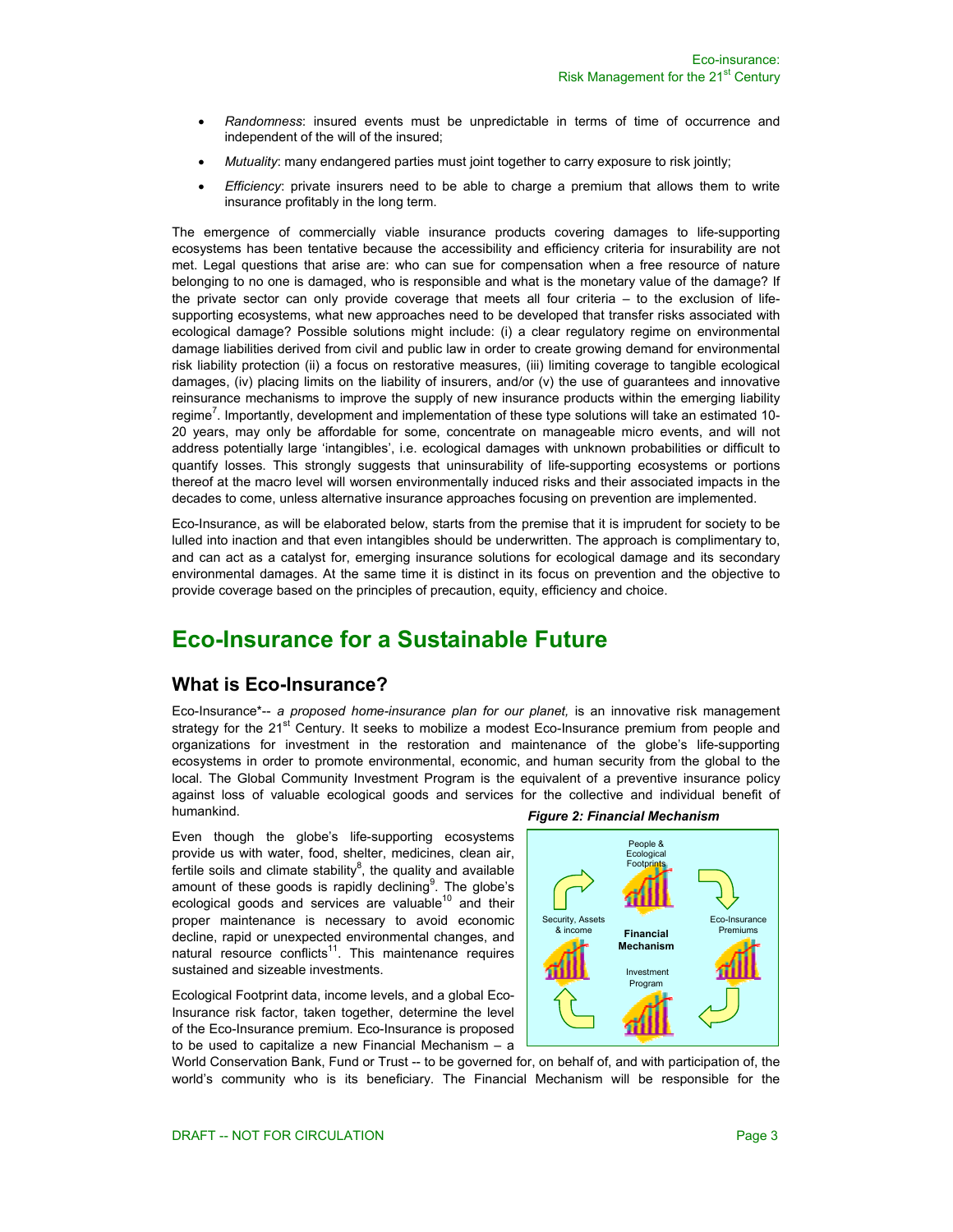- *Randomness*: insured events must be unpredictable in terms of time of occurrence and independent of the will of the insured;
- *Mutuality*: many endangered parties must joint together to carry exposure to risk jointly;
- *Efficiency*: private insurers need to be able to charge a premium that allows them to write insurance profitably in the long term.

The emergence of commercially viable insurance products covering damages to life-supporting ecosystems has been tentative because the accessibility and efficiency criteria for insurability are not met. Legal questions that arise are: who can sue for compensation when a free resource of nature belonging to no one is damaged, who is responsible and what is the monetary value of the damage? If the private sector can only provide coverage that meets all four criteria – to the exclusion of lifesupporting ecosystems, what new approaches need to be developed that transfer risks associated with ecological damage? Possible solutions might include: (i) a clear regulatory regime on environmental damage liabilities derived from civil and public law in order to create growing demand for environmental risk liability protection (ii) a focus on restorative measures, (iii) limiting coverage to tangible ecological damages, (iv) placing limits on the liability of insurers, and/or (v) the use of guarantees and innovative reinsurance mechanisms to improve the supply of new insurance products within the emerging liability regime<sup>7</sup>. Importantly, development and implementation of these type solutions will take an estimated 10-20 years, may only be affordable for some, concentrate on manageable micro events, and will not address potentially large 'intangibles', i.e. ecological damages with unknown probabilities or difficult to quantify losses. This strongly suggests that uninsurability of life-supporting ecosystems or portions thereof at the macro level will worsen environmentally induced risks and their associated impacts in the decades to come, unless alternative insurance approaches focusing on prevention are implemented.

Eco-Insurance, as will be elaborated below, starts from the premise that it is imprudent for society to be lulled into inaction and that even intangibles should be underwritten. The approach is complimentary to, and can act as a catalyst for, emerging insurance solutions for ecological damage and its secondary environmental damages. At the same time it is distinct in its focus on prevention and the objective to provide coverage based on the principles of precaution, equity, efficiency and choice.

# **Eco-Insurance for a Sustainable Future**

### **What is Eco-Insurance?**

Eco-Insurance\*-- *a proposed home-insurance plan for our planet,* is an innovative risk management strategy for the 21<sup>st</sup> Century. It seeks to mobilize a modest Eco-Insurance premium from people and organizations for investment in the restoration and maintenance of the globe's life-supporting ecosystems in order to promote environmental, economic, and human security from the global to the local. The Global Community Investment Program is the equivalent of a preventive insurance policy against loss of valuable ecological goods and services for the collective and individual benefit of humankind.

Even though the globe's life-supporting ecosystems provide us with water, food, shelter, medicines, clean air, fertile soils and climate stability $^{8}$ , the quality and available amount of these goods is rapidly declining  $9$ . The globe's ecological goods and services are valuable $10$  and their proper maintenance is necessary to avoid economic decline, rapid or unexpected environmental changes, and natural resource conflicts<sup>11</sup>. This maintenance requires sustained and sizeable investments.

Ecological Footprint data, income levels, and a global Eco-Insurance risk factor, taken together, determine the level of the Eco-Insurance premium. Eco-Insurance is proposed to be used to capitalize a new Financial Mechanism – a

*Figure 2: Financial Mechanism* 



World Conservation Bank, Fund or Trust -- to be governed for, on behalf of, and with participation of, the world's community who is its beneficiary. The Financial Mechanism will be responsible for the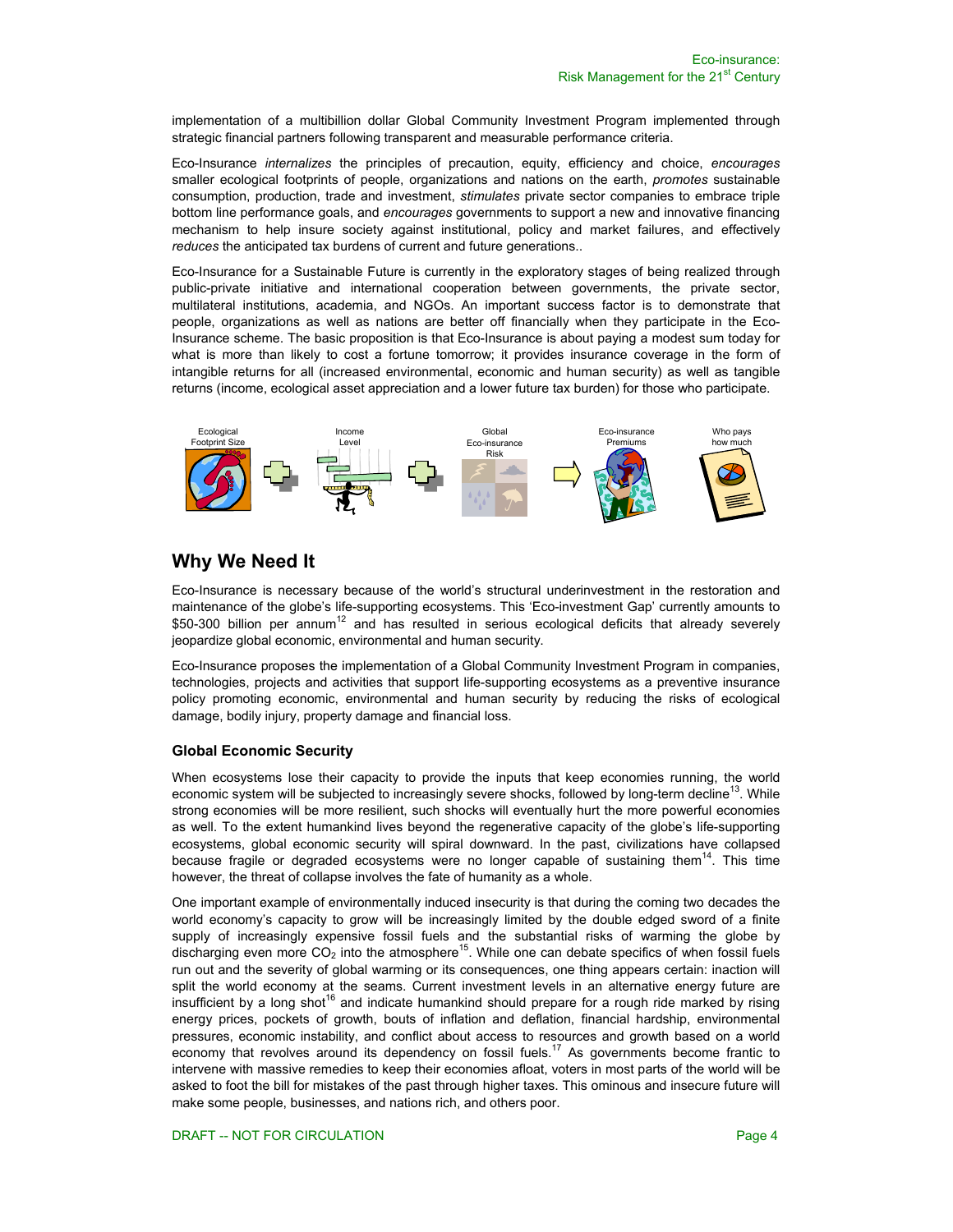implementation of a multibillion dollar Global Community Investment Program implemented through strategic financial partners following transparent and measurable performance criteria.

Eco-Insurance *internalizes* the principles of precaution, equity, efficiency and choice, *encourages* smaller ecological footprints of people, organizations and nations on the earth, *promotes* sustainable consumption, production, trade and investment, *stimulates* private sector companies to embrace triple bottom line performance goals, and *encourages* governments to support a new and innovative financing mechanism to help insure society against institutional, policy and market failures, and effectively *reduces* the anticipated tax burdens of current and future generations..

Eco-Insurance for a Sustainable Future is currently in the exploratory stages of being realized through public-private initiative and international cooperation between governments, the private sector, multilateral institutions, academia, and NGOs. An important success factor is to demonstrate that people, organizations as well as nations are better off financially when they participate in the Eco-Insurance scheme. The basic proposition is that Eco-Insurance is about paying a modest sum today for what is more than likely to cost a fortune tomorrow; it provides insurance coverage in the form of intangible returns for all (increased environmental, economic and human security) as well as tangible returns (income, ecological asset appreciation and a lower future tax burden) for those who participate.



# **Why We Need It**

Eco-Insurance is necessary because of the world's structural underinvestment in the restoration and maintenance of the globe's life-supporting ecosystems. This 'Eco-investment Gap' currently amounts to \$50-300 billion per annum<sup>12</sup> and has resulted in serious ecological deficits that already severely jeopardize global economic, environmental and human security.

Eco-Insurance proposes the implementation of a Global Community Investment Program in companies, technologies, projects and activities that support life-supporting ecosystems as a preventive insurance policy promoting economic, environmental and human security by reducing the risks of ecological damage, bodily injury, property damage and financial loss.

### **Global Economic Security**

When ecosystems lose their capacity to provide the inputs that keep economies running, the world economic system will be subjected to increasingly severe shocks, followed by long-term decline<sup>13</sup>. While strong economies will be more resilient, such shocks will eventually hurt the more powerful economies as well. To the extent humankind lives beyond the regenerative capacity of the globe's life-supporting ecosystems, global economic security will spiral downward. In the past, civilizations have collapsed because fragile or degraded ecosystems were no longer capable of sustaining them<sup>14</sup>. This time however, the threat of collapse involves the fate of humanity as a whole.

One important example of environmentally induced insecurity is that during the coming two decades the world economy's capacity to grow will be increasingly limited by the double edged sword of a finite supply of increasingly expensive fossil fuels and the substantial risks of warming the globe by discharging even more  $CO<sub>2</sub>$  into the atmosphere<sup>15</sup>. While one can debate specifics of when fossil fuels run out and the severity of global warming or its consequences, one thing appears certain: inaction will split the world economy at the seams. Current investment levels in an alternative energy future are insufficient by a long shot<sup>16</sup> and indicate humankind should prepare for a rough ride marked by rising energy prices, pockets of growth, bouts of inflation and deflation, financial hardship, environmental pressures, economic instability, and conflict about access to resources and growth based on a world economy that revolves around its dependency on fossil fuels.<sup>17</sup> As governments become frantic to intervene with massive remedies to keep their economies afloat, voters in most parts of the world will be asked to foot the bill for mistakes of the past through higher taxes. This ominous and insecure future will make some people, businesses, and nations rich, and others poor.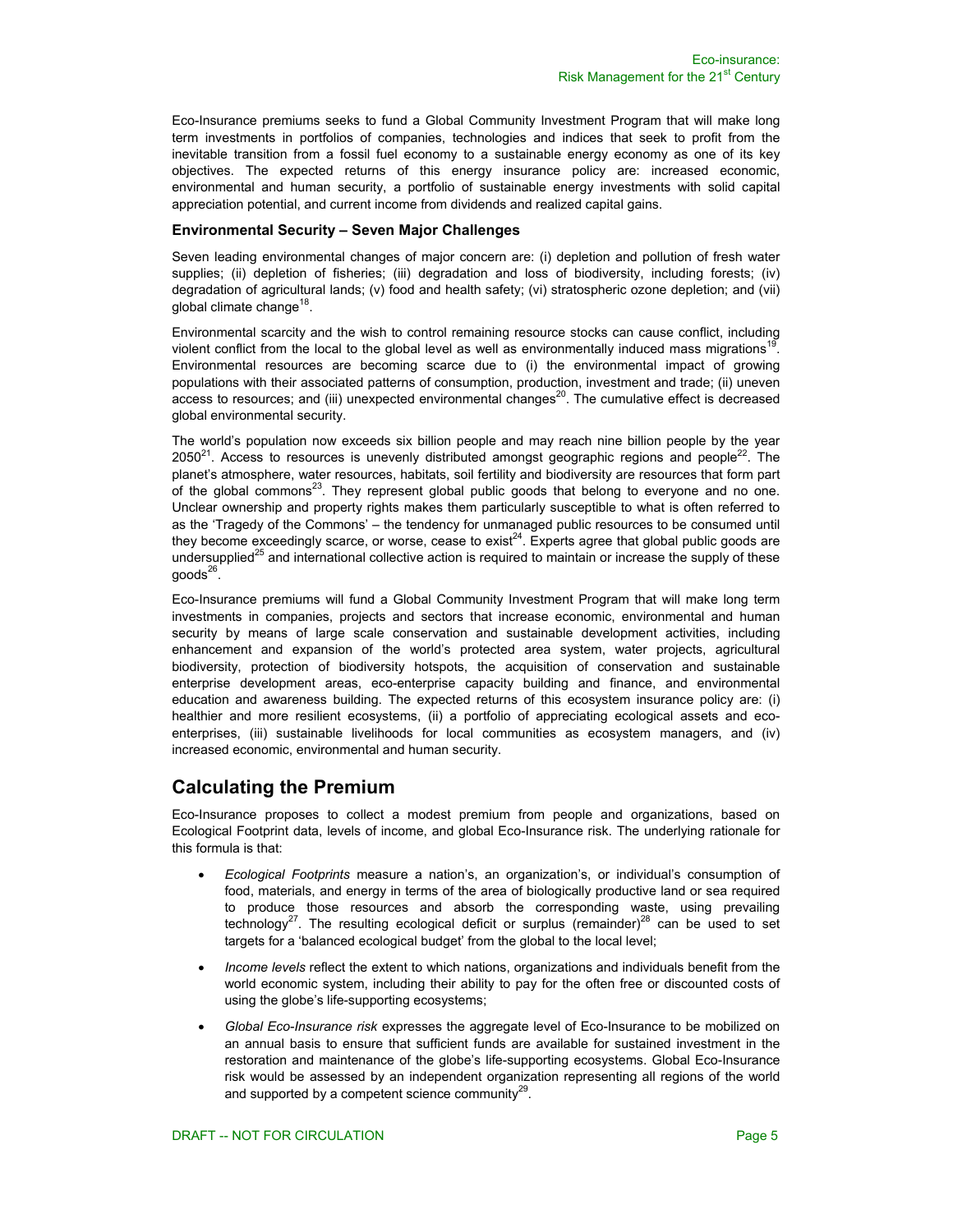Eco-Insurance premiums seeks to fund a Global Community Investment Program that will make long term investments in portfolios of companies, technologies and indices that seek to profit from the inevitable transition from a fossil fuel economy to a sustainable energy economy as one of its key objectives. The expected returns of this energy insurance policy are: increased economic, environmental and human security, a portfolio of sustainable energy investments with solid capital appreciation potential, and current income from dividends and realized capital gains.

#### **Environmental Security – Seven Major Challenges**

Seven leading environmental changes of major concern are: (i) depletion and pollution of fresh water supplies; (ii) depletion of fisheries; (iii) degradation and loss of biodiversity, including forests; (iv) degradation of agricultural lands; (v) food and health safety; (vi) stratospheric ozone depletion; and (vii) global climate change<sup>18</sup>.

Environmental scarcity and the wish to control remaining resource stocks can cause conflict, including violent conflict from the local to the global level as well as environmentally induced mass migrations<sup>19</sup> Environmental resources are becoming scarce due to (i) the environmental impact of growing populations with their associated patterns of consumption, production, investment and trade; (ii) uneven access to resources; and (iii) unexpected environmental changes<sup>20</sup>. The cumulative effect is decreased global environmental security.

The world's population now exceeds six billion people and may reach nine billion people by the year  $2050<sup>21</sup>$ . Access to resources is unevenly distributed amongst geographic regions and people<sup>22</sup>. The planet's atmosphere, water resources, habitats, soil fertility and biodiversity are resources that form part of the global commons $^{23}$ . They represent global public goods that belong to everyone and no one. Unclear ownership and property rights makes them particularly susceptible to what is often referred to as the 'Tragedy of the Commons' – the tendency for unmanaged public resources to be consumed until they become exceedingly scarce, or worse, cease to exist<sup>24</sup>. Experts agree that global public goods are undersupplied<sup>25</sup> and international collective action is required to maintain or increase the supply of these  $goods<sup>26</sup>$ .

Eco-Insurance premiums will fund a Global Community Investment Program that will make long term investments in companies, projects and sectors that increase economic, environmental and human security by means of large scale conservation and sustainable development activities, including enhancement and expansion of the world's protected area system, water projects, agricultural biodiversity, protection of biodiversity hotspots, the acquisition of conservation and sustainable enterprise development areas, eco-enterprise capacity building and finance, and environmental education and awareness building. The expected returns of this ecosystem insurance policy are: (i) healthier and more resilient ecosystems, (ii) a portfolio of appreciating ecological assets and ecoenterprises, (iii) sustainable livelihoods for local communities as ecosystem managers, and (iv) increased economic, environmental and human security.

### **Calculating the Premium**

Eco-Insurance proposes to collect a modest premium from people and organizations, based on Ecological Footprint data, levels of income, and global Eco-Insurance risk. The underlying rationale for this formula is that:

- *Ecological Footprints* measure a nation's, an organization's, or individual's consumption of food, materials, and energy in terms of the area of biologically productive land or sea required to produce those resources and absorb the corresponding waste, using prevailing technology<sup>27</sup>. The resulting ecological deficit or surplus (remainder)<sup>28</sup> can be used to set targets for a 'balanced ecological budget' from the global to the local level;
- *Income levels* reflect the extent to which nations, organizations and individuals benefit from the world economic system, including their ability to pay for the often free or discounted costs of using the globe's life-supporting ecosystems;
- *Global Eco-Insurance risk* expresses the aggregate level of Eco-Insurance to be mobilized on an annual basis to ensure that sufficient funds are available for sustained investment in the restoration and maintenance of the globe's life-supporting ecosystems. Global Eco-Insurance risk would be assessed by an independent organization representing all regions of the world and supported by a competent science community $^{29}$ .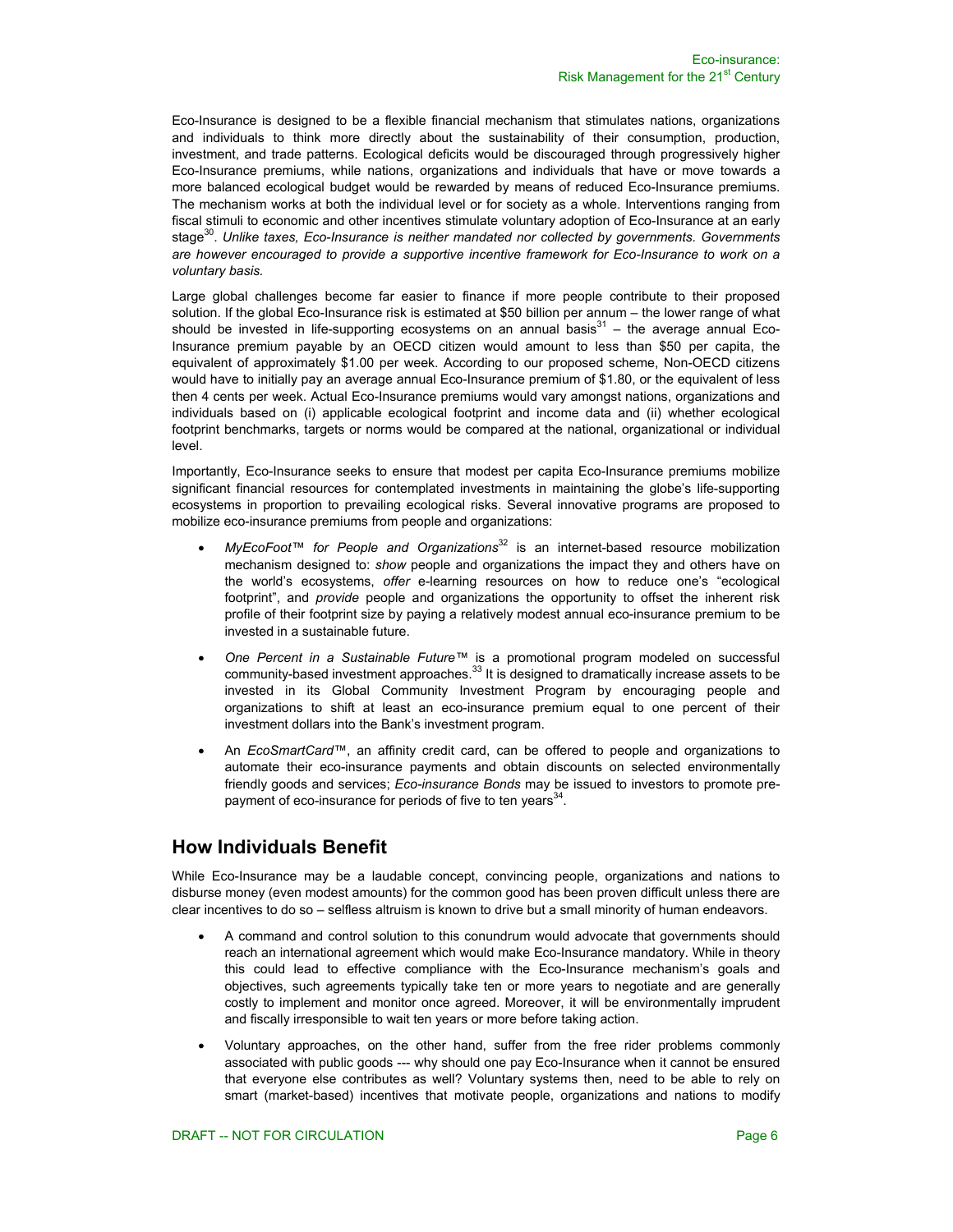Eco-Insurance is designed to be a flexible financial mechanism that stimulates nations, organizations and individuals to think more directly about the sustainability of their consumption, production, investment, and trade patterns. Ecological deficits would be discouraged through progressively higher Eco-Insurance premiums, while nations, organizations and individuals that have or move towards a more balanced ecological budget would be rewarded by means of reduced Eco-Insurance premiums. The mechanism works at both the individual level or for society as a whole. Interventions ranging from fiscal stimuli to economic and other incentives stimulate voluntary adoption of Eco-Insurance at an early stage<sup>30</sup>. Unlike taxes, Eco-Insurance is neither mandated nor collected by governments. Governments *are however encouraged to provide a supportive incentive framework for Eco-Insurance to work on a voluntary basis.*

Large global challenges become far easier to finance if more people contribute to their proposed solution. If the global Eco-Insurance risk is estimated at \$50 billion per annum – the lower range of what should be invested in life-supporting ecosystems on an annual basis $31 -$  the average annual Eco-Insurance premium payable by an OECD citizen would amount to less than \$50 per capita, the equivalent of approximately \$1.00 per week. According to our proposed scheme, Non-OECD citizens would have to initially pay an average annual Eco-Insurance premium of \$1.80, or the equivalent of less then 4 cents per week. Actual Eco-Insurance premiums would vary amongst nations, organizations and individuals based on (i) applicable ecological footprint and income data and (ii) whether ecological footprint benchmarks, targets or norms would be compared at the national, organizational or individual level.

Importantly, Eco-Insurance seeks to ensure that modest per capita Eco-Insurance premiums mobilize significant financial resources for contemplated investments in maintaining the globe's life-supporting ecosystems in proportion to prevailing ecological risks. Several innovative programs are proposed to mobilize eco-insurance premiums from people and organizations:

- *MyEcoFoot<sup>™</sup> for People and Organizations*<sup>32</sup> is an internet-based resource mobilization mechanism designed to: *show* people and organizations the impact they and others have on the world's ecosystems, *offer* e-learning resources on how to reduce one's "ecological footprint", and *provide* people and organizations the opportunity to offset the inherent risk profile of their footprint size by paying a relatively modest annual eco-insurance premium to be invested in a sustainable future.
- *One Percent in a Sustainable Future™* is a promotional program modeled on successful community-based investment approaches.<sup>33</sup> It is designed to dramatically increase assets to be invested in its Global Community Investment Program by encouraging people and organizations to shift at least an eco-insurance premium equal to one percent of their investment dollars into the Bank's investment program.
- An *EcoSmartCard™*, an affinity credit card, can be offered to people and organizations to automate their eco-insurance payments and obtain discounts on selected environmentally friendly goods and services; *Eco-insurance Bonds* may be issued to investors to promote prepayment of eco-insurance for periods of five to ten years<sup>34</sup>.

### **How Individuals Benefit**

While Eco-Insurance may be a laudable concept, convincing people, organizations and nations to disburse money (even modest amounts) for the common good has been proven difficult unless there are clear incentives to do so – selfless altruism is known to drive but a small minority of human endeavors.

- A command and control solution to this conundrum would advocate that governments should reach an international agreement which would make Eco-Insurance mandatory. While in theory this could lead to effective compliance with the Eco-Insurance mechanism's goals and objectives, such agreements typically take ten or more years to negotiate and are generally costly to implement and monitor once agreed. Moreover, it will be environmentally imprudent and fiscally irresponsible to wait ten years or more before taking action.
- Voluntary approaches, on the other hand, suffer from the free rider problems commonly associated with public goods --- why should one pay Eco-Insurance when it cannot be ensured that everyone else contributes as well? Voluntary systems then, need to be able to rely on smart (market-based) incentives that motivate people, organizations and nations to modify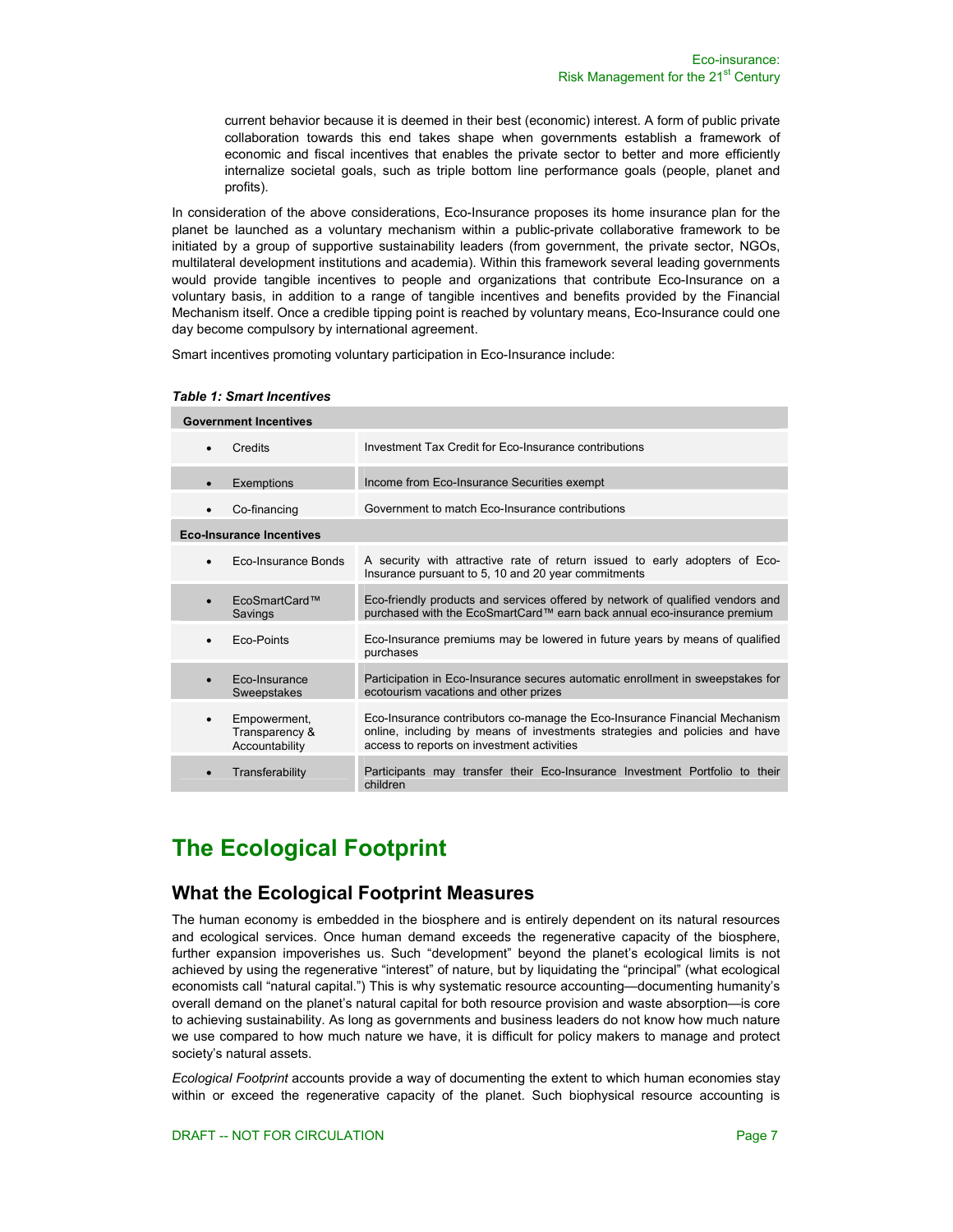current behavior because it is deemed in their best (economic) interest. A form of public private collaboration towards this end takes shape when governments establish a framework of economic and fiscal incentives that enables the private sector to better and more efficiently internalize societal goals, such as triple bottom line performance goals (people, planet and profits).

In consideration of the above considerations, Eco-Insurance proposes its home insurance plan for the planet be launched as a voluntary mechanism within a public-private collaborative framework to be initiated by a group of supportive sustainability leaders (from government, the private sector, NGOs, multilateral development institutions and academia). Within this framework several leading governments would provide tangible incentives to people and organizations that contribute Eco-Insurance on a voluntary basis, in addition to a range of tangible incentives and benefits provided by the Financial Mechanism itself. Once a credible tipping point is reached by voluntary means, Eco-Insurance could one day become compulsory by international agreement.

Smart incentives promoting voluntary participation in Eco-Insurance include:

| <b>Government Incentives</b>    |                                                  |                                                                                                                                                                                                        |  |  |
|---------------------------------|--------------------------------------------------|--------------------------------------------------------------------------------------------------------------------------------------------------------------------------------------------------------|--|--|
| $\bullet$                       | Credits                                          | Investment Tax Credit for Eco-Insurance contributions                                                                                                                                                  |  |  |
| $\bullet$                       | Exemptions                                       | Income from Eco-Insurance Securities exempt                                                                                                                                                            |  |  |
| $\bullet$                       | Co-financing                                     | Government to match Eco-Insurance contributions                                                                                                                                                        |  |  |
| <b>Eco-Insurance Incentives</b> |                                                  |                                                                                                                                                                                                        |  |  |
| $\bullet$                       | Eco-Insurance Bonds                              | A security with attractive rate of return issued to early adopters of Eco-<br>Insurance pursuant to 5, 10 and 20 year commitments                                                                      |  |  |
| $\bullet$                       | EcoSmartCard™<br>Savings                         | Eco-friendly products and services offered by network of qualified vendors and<br>purchased with the EcoSmartCard™ earn back annual eco-insurance premium                                              |  |  |
| $\bullet$                       | Eco-Points                                       | Eco-Insurance premiums may be lowered in future years by means of qualified<br>purchases                                                                                                               |  |  |
| $\bullet$                       | Eco-Insurance<br>Sweepstakes                     | Participation in Eco-Insurance secures automatic enrollment in sweepstakes for<br>ecotourism vacations and other prizes                                                                                |  |  |
| $\bullet$                       | Empowerment,<br>Transparency &<br>Accountability | Eco-Insurance contributors co-manage the Eco-Insurance Financial Mechanism<br>online, including by means of investments strategies and policies and have<br>access to reports on investment activities |  |  |
|                                 | Transferability                                  | Participants may transfer their Eco-Insurance Investment Portfolio to their<br>children                                                                                                                |  |  |

#### *Table 1: Smart Incentives*

# **The Ecological Footprint**

### **What the Ecological Footprint Measures**

The human economy is embedded in the biosphere and is entirely dependent on its natural resources and ecological services. Once human demand exceeds the regenerative capacity of the biosphere, further expansion impoverishes us. Such "development" beyond the planet's ecological limits is not achieved by using the regenerative "interest" of nature, but by liquidating the "principal" (what ecological economists call "natural capital.") This is why systematic resource accounting—documenting humanity's overall demand on the planet's natural capital for both resource provision and waste absorption—is core to achieving sustainability. As long as governments and business leaders do not know how much nature we use compared to how much nature we have, it is difficult for policy makers to manage and protect society's natural assets.

*Ecological Footprint* accounts provide a way of documenting the extent to which human economies stay within or exceed the regenerative capacity of the planet. Such biophysical resource accounting is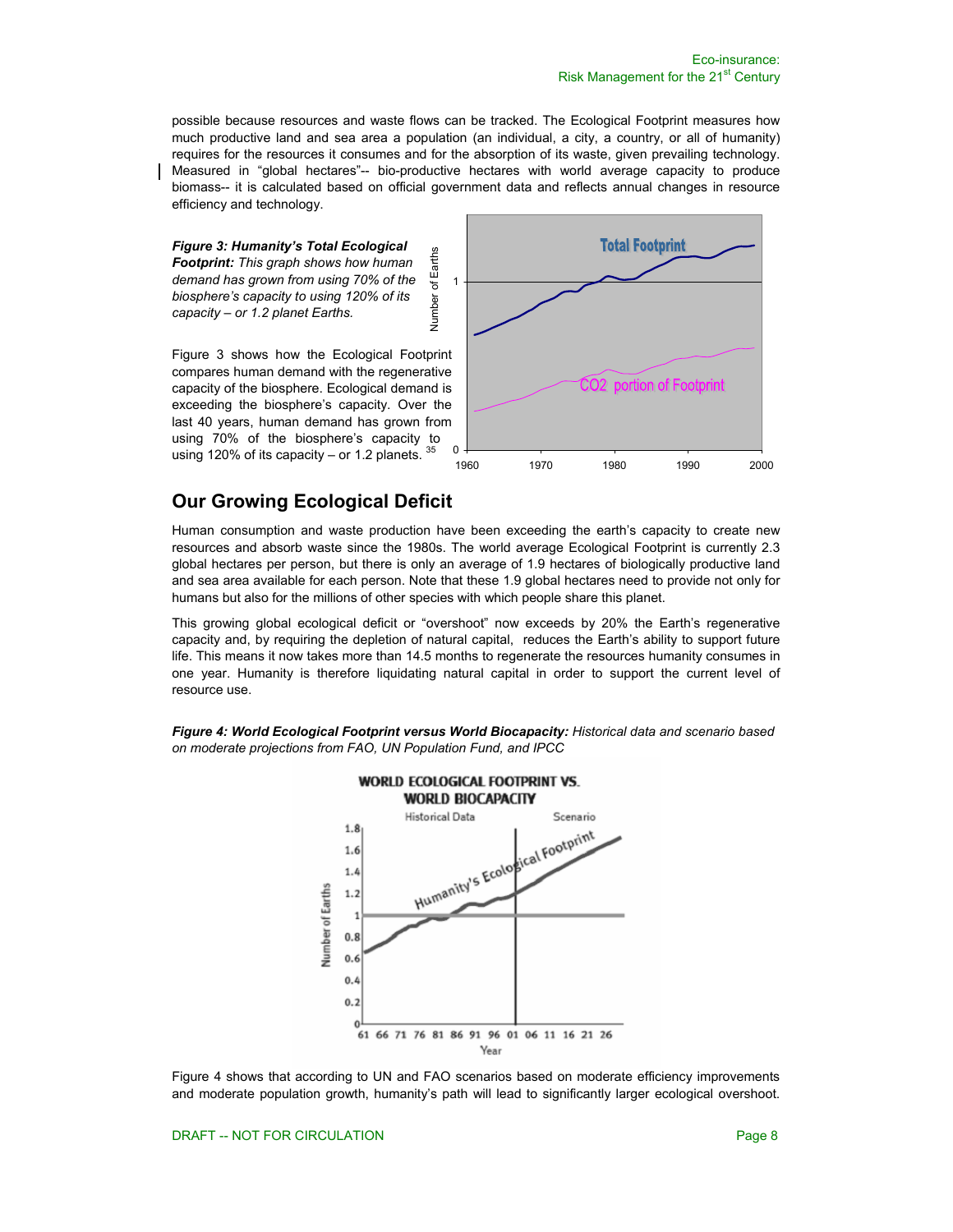possible because resources and waste flows can be tracked. The Ecological Footprint measures how much productive land and sea area a population (an individual, a city, a country, or all of humanity) requires for the resources it consumes and for the absorption of its waste, given prevailing technology. Measured in "global hectares"-- bio-productive hectares with world average capacity to produce biomass-- it is calculated based on official government data and reflects annual changes in resource efficiency and technology.

Number of Earths

Number

of Earths

*Figure 3: Humanity's Total Ecological Footprint: This graph shows how human demand has grown from using 70% of the biosphere's capacity to using 120% of its capacity – or 1.2 planet Earths.* 

Figure 3 shows how the Ecological Footprint compares human demand with the regenerative capacity of the biosphere. Ecological demand is exceeding the biosphere's capacity. Over the last 40 years, human demand has grown from using 70% of the biosphere's capacity to using 120% of its capacity  $-$  or 1.2 planets.



# **Our Growing Ecological Deficit**

Human consumption and waste production have been exceeding the earth's capacity to create new resources and absorb waste since the 1980s. The world average Ecological Footprint is currently 2.3 global hectares per person, but there is only an average of 1.9 hectares of biologically productive land and sea area available for each person. Note that these 1.9 global hectares need to provide not only for humans but also for the millions of other species with which people share this planet.

This growing global ecological deficit or "overshoot" now exceeds by 20% the Earth's regenerative capacity and, by requiring the depletion of natural capital, reduces the Earth's ability to support future life. This means it now takes more than 14.5 months to regenerate the resources humanity consumes in one year. Humanity is therefore liquidating natural capital in order to support the current level of resource use.

*Figure 4: World Ecological Footprint versus World Biocapacity: Historical data and scenario based on moderate projections from FAO, UN Population Fund, and IPCC*



Figure 4 shows that according to UN and FAO scenarios based on moderate efficiency improvements and moderate population growth, humanity's path will lead to significantly larger ecological overshoot.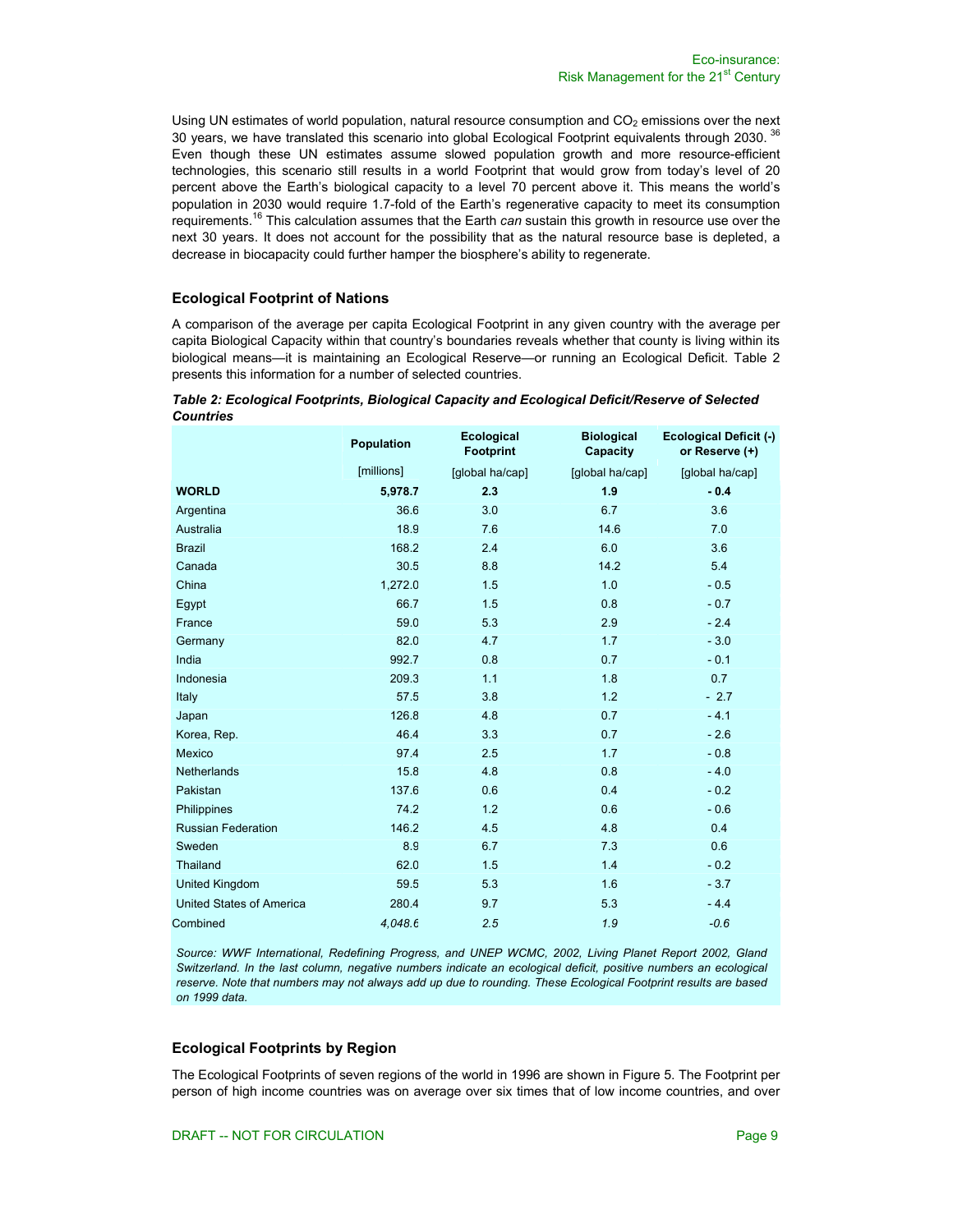Using UN estimates of world population, natural resource consumption and  $CO<sub>2</sub>$  emissions over the next 30 years, we have translated this scenario into global Ecological Footprint equivalents through 2030. <sup>36</sup> Even though these UN estimates assume slowed population growth and more resource-efficient technologies, this scenario still results in a world Footprint that would grow from today's level of 20 percent above the Earth's biological capacity to a level 70 percent above it. This means the world's population in 2030 would require 1.7-fold of the Earth's regenerative capacity to meet its consumption requirements.16 This calculation assumes that the Earth *can* sustain this growth in resource use over the next 30 years. It does not account for the possibility that as the natural resource base is depleted, a decrease in biocapacity could further hamper the biosphere's ability to regenerate.

#### **Ecological Footprint of Nations**

A comparison of the average per capita Ecological Footprint in any given country with the average per capita Biological Capacity within that country's boundaries reveals whether that county is living within its biological means—it is maintaining an Ecological Reserve—or running an Ecological Deficit. Table 2 presents this information for a number of selected countries.

|                           | Population | <b>Ecological</b><br><b>Footprint</b> | <b>Biological</b><br>Capacity | <b>Ecological Deficit (-)</b><br>or Reserve (+) |
|---------------------------|------------|---------------------------------------|-------------------------------|-------------------------------------------------|
|                           | [millions] | [global ha/cap]                       | [global ha/cap]               | [global ha/cap]                                 |
| <b>WORLD</b>              | 5,978.7    | 2.3                                   | 1.9                           | $-0.4$                                          |
| Argentina                 | 36.6       | 3.0                                   | 6.7                           | 3.6                                             |
| Australia                 | 18.9       | 7.6                                   | 14.6                          | 7.0                                             |
| <b>Brazil</b>             | 168.2      | 2.4                                   | 6.0                           | 3.6                                             |
| Canada                    | 30.5       | 8.8                                   | 14.2                          | 5.4                                             |
| China                     | 1,272.0    | 1.5                                   | 1.0                           | $-0.5$                                          |
| Egypt                     | 66.7       | 1.5                                   | 0.8                           | $-0.7$                                          |
| France                    | 59.0       | 5.3                                   | 2.9                           | $-2.4$                                          |
| Germany                   | 82.0       | 4.7                                   | 1.7                           | $-3.0$                                          |
| India                     | 992.7      | 0.8                                   | 0.7                           | $-0.1$                                          |
| Indonesia                 | 209.3      | 1.1                                   | 1.8                           | 0.7                                             |
| Italy                     | 57.5       | 3.8                                   | 1.2                           | $-2.7$                                          |
| Japan                     | 126.8      | 4.8                                   | 0.7                           | $-4.1$                                          |
| Korea, Rep.               | 46.4       | 3.3                                   | 0.7                           | $-2.6$                                          |
| Mexico                    | 97.4       | 2.5                                   | 1.7                           | $-0.8$                                          |
| Netherlands               | 15.8       | 4.8                                   | 0.8                           | $-4.0$                                          |
| Pakistan                  | 137.6      | 0.6                                   | 0.4                           | $-0.2$                                          |
| Philippines               | 74.2       | 1.2                                   | 0.6                           | $-0.6$                                          |
| <b>Russian Federation</b> | 146.2      | 4.5                                   | 4.8                           | 0.4                                             |
| Sweden                    | 8.9        | 6.7                                   | 7.3                           | 0.6                                             |
| Thailand                  | 62.0       | 1.5                                   | 1.4                           | $-0.2$                                          |
| United Kingdom            | 59.5       | 5.3                                   | 1.6                           | $-3.7$                                          |
| United States of America  | 280.4      | 9.7                                   | 5.3                           | $-4.4$                                          |
| Combined                  | 4.048.6    | 2.5                                   | 1.9                           | $-0.6$                                          |

#### *Table 2: Ecological Footprints, Biological Capacity and Ecological Deficit/Reserve of Selected Countries*

*Source: WWF International, Redefining Progress, and UNEP WCMC, 2002, Living Planet Report 2002, Gland Switzerland. In the last column, negative numbers indicate an ecological deficit, positive numbers an ecological reserve. Note that numbers may not always add up due to rounding. These Ecological Footprint results are based on 1999 data.*

### **Ecological Footprints by Region**

The Ecological Footprints of seven regions of the world in 1996 are shown in Figure 5. The Footprint per person of high income countries was on average over six times that of low income countries, and over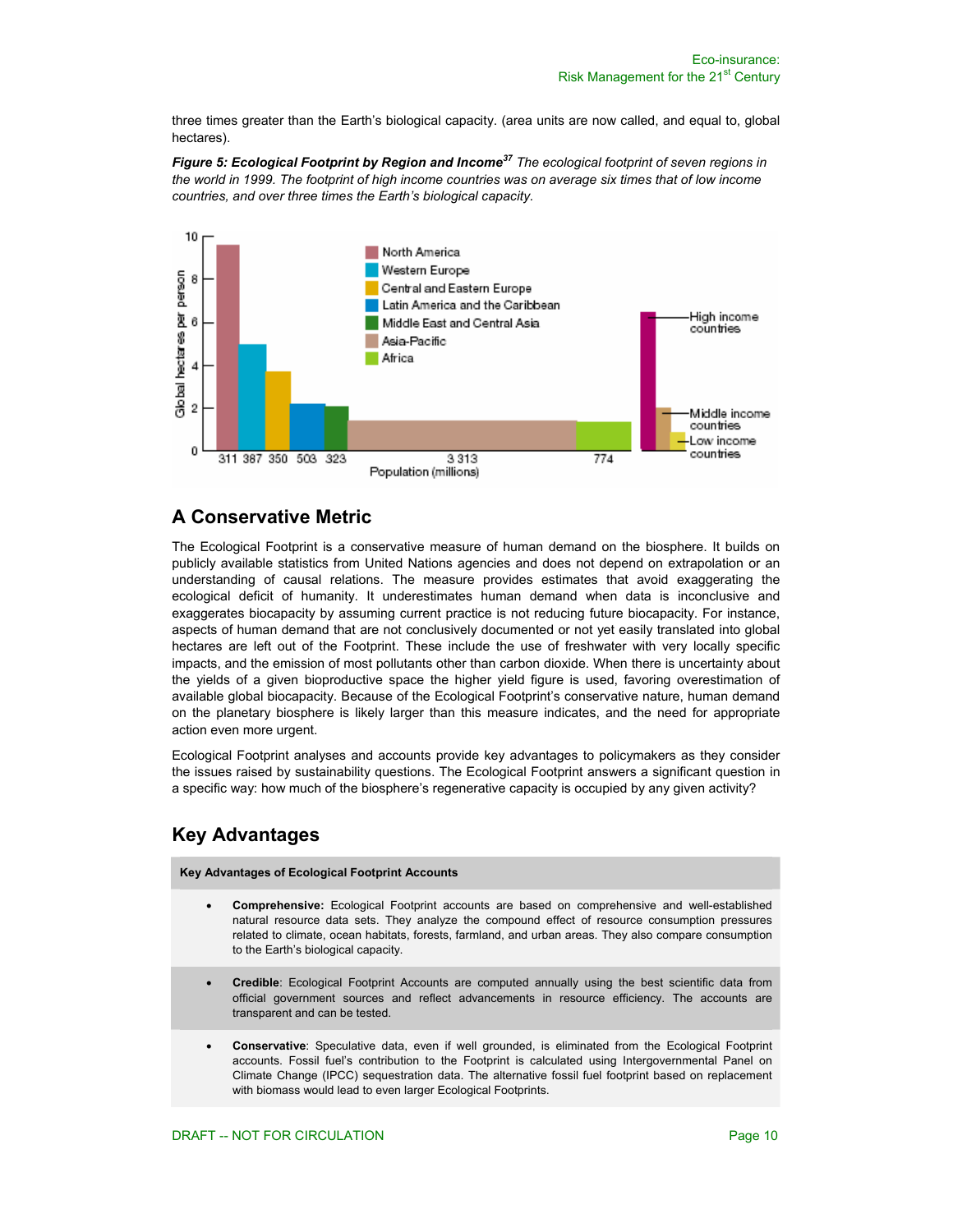three times greater than the Earth's biological capacity. (area units are now called, and equal to, global hectares).

*Figure 5: Ecological Footprint by Region and Income37 The ecological footprint of seven regions in the world in 1999. The footprint of high income countries was on average six times that of low income countries, and over three times the Earth's biological capacity.*



# **A Conservative Metric**

The Ecological Footprint is a conservative measure of human demand on the biosphere. It builds on publicly available statistics from United Nations agencies and does not depend on extrapolation or an understanding of causal relations. The measure provides estimates that avoid exaggerating the ecological deficit of humanity. It underestimates human demand when data is inconclusive and exaggerates biocapacity by assuming current practice is not reducing future biocapacity. For instance, aspects of human demand that are not conclusively documented or not yet easily translated into global hectares are left out of the Footprint. These include the use of freshwater with very locally specific impacts, and the emission of most pollutants other than carbon dioxide. When there is uncertainty about the yields of a given bioproductive space the higher yield figure is used, favoring overestimation of available global biocapacity. Because of the Ecological Footprint's conservative nature, human demand on the planetary biosphere is likely larger than this measure indicates, and the need for appropriate action even more urgent.

Ecological Footprint analyses and accounts provide key advantages to policymakers as they consider the issues raised by sustainability questions. The Ecological Footprint answers a significant question in a specific way: how much of the biosphere's regenerative capacity is occupied by any given activity?

# **Key Advantages**

**Key Advantages of Ecological Footprint Accounts** 

- **Comprehensive:** Ecological Footprint accounts are based on comprehensive and well-established natural resource data sets. They analyze the compound effect of resource consumption pressures related to climate, ocean habitats, forests, farmland, and urban areas. They also compare consumption to the Earth's biological capacity.
- **Credible**: Ecological Footprint Accounts are computed annually using the best scientific data from official government sources and reflect advancements in resource efficiency. The accounts are transparent and can be tested.
- **Conservative**: Speculative data, even if well grounded, is eliminated from the Ecological Footprint accounts. Fossil fuel's contribution to the Footprint is calculated using Intergovernmental Panel on Climate Change (IPCC) sequestration data. The alternative fossil fuel footprint based on replacement with biomass would lead to even larger Ecological Footprints.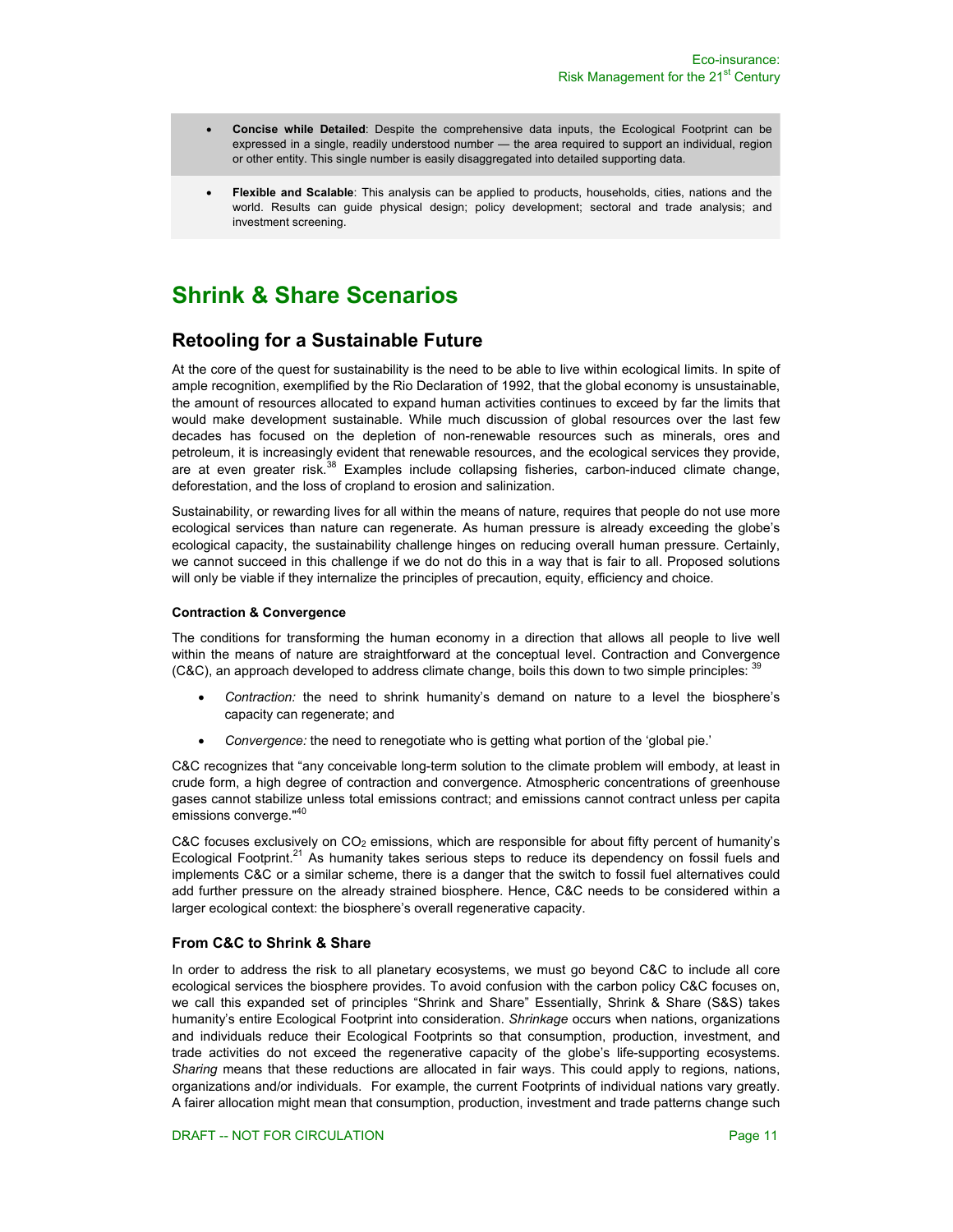- **Concise while Detailed**: Despite the comprehensive data inputs, the Ecological Footprint can be expressed in a single, readily understood number — the area required to support an individual, region or other entity. This single number is easily disaggregated into detailed supporting data.
- **Flexible and Scalable**: This analysis can be applied to products, households, cities, nations and the world. Results can guide physical design; policy development; sectoral and trade analysis; and investment screening.

# **Shrink & Share Scenarios**

# **Retooling for a Sustainable Future**

At the core of the quest for sustainability is the need to be able to live within ecological limits. In spite of ample recognition, exemplified by the Rio Declaration of 1992, that the global economy is unsustainable, the amount of resources allocated to expand human activities continues to exceed by far the limits that would make development sustainable. While much discussion of global resources over the last few decades has focused on the depletion of non-renewable resources such as minerals, ores and petroleum, it is increasingly evident that renewable resources, and the ecological services they provide, are at even greater risk.<sup>38</sup> Examples include collapsing fisheries, carbon-induced climate change, deforestation, and the loss of cropland to erosion and salinization.

Sustainability, or rewarding lives for all within the means of nature, requires that people do not use more ecological services than nature can regenerate. As human pressure is already exceeding the globe's ecological capacity, the sustainability challenge hinges on reducing overall human pressure. Certainly, we cannot succeed in this challenge if we do not do this in a way that is fair to all. Proposed solutions will only be viable if they internalize the principles of precaution, equity, efficiency and choice.

#### **Contraction & Convergence**

The conditions for transforming the human economy in a direction that allows all people to live well within the means of nature are straightforward at the conceptual level. Contraction and Convergence (C&C), an approach developed to address climate change, boils this down to two simple principles: <sup>39</sup>

- *Contraction:* the need to shrink humanity's demand on nature to a level the biosphere's capacity can regenerate; and
- *Convergence:* the need to renegotiate who is getting what portion of the 'global pie.'

C&C recognizes that "any conceivable long-term solution to the climate problem will embody, at least in crude form, a high degree of contraction and convergence. Atmospheric concentrations of greenhouse gases cannot stabilize unless total emissions contract; and emissions cannot contract unless per capita emissions converge."<sup>40</sup>

C&C focuses exclusively on  $CO<sub>2</sub>$  emissions, which are responsible for about fifty percent of humanity's Ecological Footprint.<sup>21</sup> As humanity takes serious steps to reduce its dependency on fossil fuels and implements C&C or a similar scheme, there is a danger that the switch to fossil fuel alternatives could add further pressure on the already strained biosphere. Hence, C&C needs to be considered within a larger ecological context: the biosphere's overall regenerative capacity.

### **From C&C to Shrink & Share**

In order to address the risk to all planetary ecosystems, we must go beyond C&C to include all core ecological services the biosphere provides. To avoid confusion with the carbon policy C&C focuses on, we call this expanded set of principles "Shrink and Share" Essentially, Shrink & Share (S&S) takes humanity's entire Ecological Footprint into consideration. *Shrinkage* occurs when nations, organizations and individuals reduce their Ecological Footprints so that consumption, production, investment, and trade activities do not exceed the regenerative capacity of the globe's life-supporting ecosystems. *Sharing* means that these reductions are allocated in fair ways. This could apply to regions, nations, organizations and/or individuals. For example, the current Footprints of individual nations vary greatly. A fairer allocation might mean that consumption, production, investment and trade patterns change such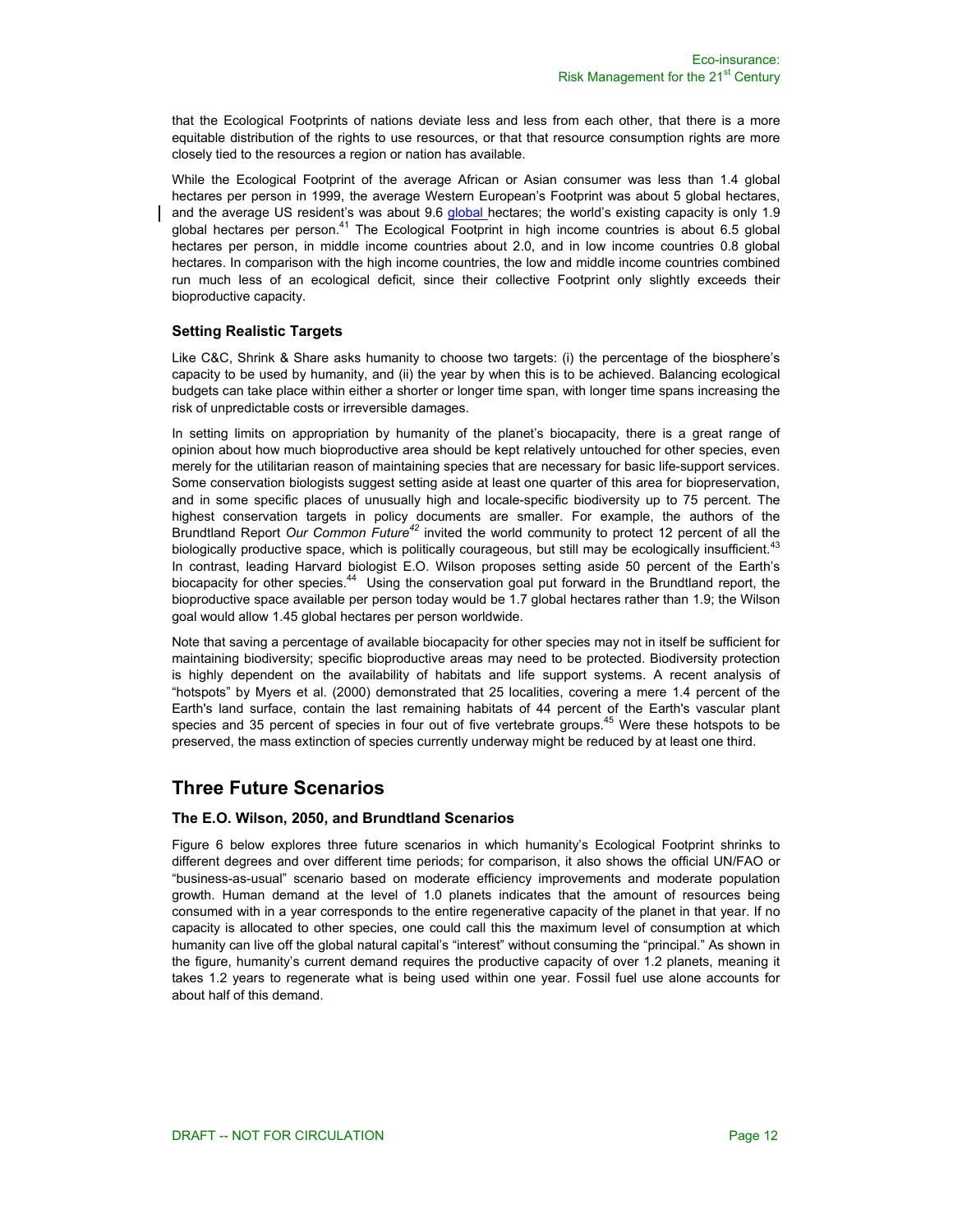that the Ecological Footprints of nations deviate less and less from each other, that there is a more equitable distribution of the rights to use resources, or that that resource consumption rights are more closely tied to the resources a region or nation has available.

While the Ecological Footprint of the average African or Asian consumer was less than 1.4 global hectares per person in 1999, the average Western European's Footprint was about 5 global hectares, and the average US resident's was about 9.6 global hectares; the world's existing capacity is only 1.9 global hectares per person.<sup>41</sup> The Ecological Footprint in high income countries is about 6.5 global hectares per person, in middle income countries about 2.0, and in low income countries 0.8 global hectares. In comparison with the high income countries, the low and middle income countries combined run much less of an ecological deficit, since their collective Footprint only slightly exceeds their bioproductive capacity.

### **Setting Realistic Targets**

Like C&C, Shrink & Share asks humanity to choose two targets: (i) the percentage of the biosphere's capacity to be used by humanity, and (ii) the year by when this is to be achieved. Balancing ecological budgets can take place within either a shorter or longer time span, with longer time spans increasing the risk of unpredictable costs or irreversible damages.

In setting limits on appropriation by humanity of the planet's biocapacity, there is a great range of opinion about how much bioproductive area should be kept relatively untouched for other species, even merely for the utilitarian reason of maintaining species that are necessary for basic life-support services. Some conservation biologists suggest setting aside at least one quarter of this area for biopreservation, and in some specific places of unusually high and locale-specific biodiversity up to 75 percent. The highest conservation targets in policy documents are smaller. For example, the authors of the Brundtland Report *Our Common Future<sup>42</sup>* invited the world community to protect 12 percent of all the biologically productive space, which is politically courageous, but still may be ecologically insufficient.<sup>43</sup> In contrast, leading Harvard biologist E.O. Wilson proposes setting aside 50 percent of the Earth's biocapacity for other species.<sup>44</sup> Using the conservation goal put forward in the Brundtland report, the bioproductive space available per person today would be 1.7 global hectares rather than 1.9; the Wilson goal would allow 1.45 global hectares per person worldwide.

Note that saving a percentage of available biocapacity for other species may not in itself be sufficient for maintaining biodiversity; specific bioproductive areas may need to be protected. Biodiversity protection is highly dependent on the availability of habitats and life support systems. A recent analysis of "hotspots" by Myers et al. (2000) demonstrated that 25 localities, covering a mere 1.4 percent of the Earth's land surface, contain the last remaining habitats of 44 percent of the Earth's vascular plant species and 35 percent of species in four out of five vertebrate groups.<sup>45</sup> Were these hotspots to be preserved, the mass extinction of species currently underway might be reduced by at least one third.

### **Three Future Scenarios**

### **The E.O. Wilson, 2050, and Brundtland Scenarios**

Figure 6 below explores three future scenarios in which humanity's Ecological Footprint shrinks to different degrees and over different time periods; for comparison, it also shows the official UN/FAO or "business-as-usual" scenario based on moderate efficiency improvements and moderate population growth. Human demand at the level of 1.0 planets indicates that the amount of resources being consumed with in a year corresponds to the entire regenerative capacity of the planet in that year. If no capacity is allocated to other species, one could call this the maximum level of consumption at which humanity can live off the global natural capital's "interest" without consuming the "principal." As shown in the figure, humanity's current demand requires the productive capacity of over 1.2 planets, meaning it takes 1.2 years to regenerate what is being used within one year. Fossil fuel use alone accounts for about half of this demand.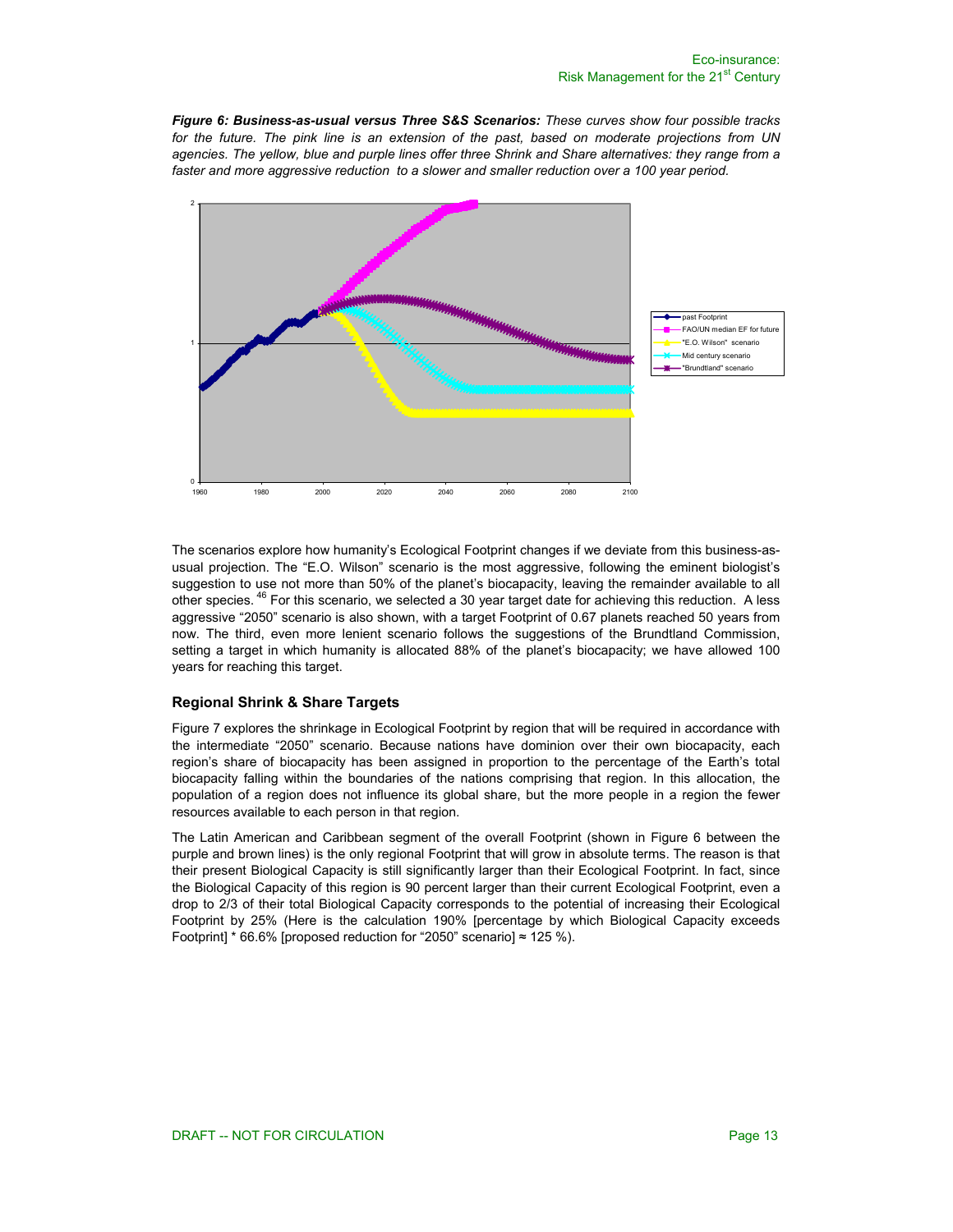*Figure 6: Business-as-usual versus Three S&S Scenarios: These curves show four possible tracks for the future. The pink line is an extension of the past, based on moderate projections from UN agencies. The yellow, blue and purple lines offer three Shrink and Share alternatives: they range from a*  faster and more aggressive reduction to a slower and smaller reduction over a 100 year period.



The scenarios explore how humanity's Ecological Footprint changes if we deviate from this business-asusual projection. The "E.O. Wilson" scenario is the most aggressive, following the eminent biologist's suggestion to use not more than 50% of the planet's biocapacity, leaving the remainder available to all other species. <sup>46</sup> For this scenario, we selected a 30 year target date for achieving this reduction. A less aggressive "2050" scenario is also shown, with a target Footprint of 0.67 planets reached 50 years from now. The third, even more lenient scenario follows the suggestions of the Brundtland Commission, setting a target in which humanity is allocated 88% of the planet's biocapacity; we have allowed 100 years for reaching this target.

### **Regional Shrink & Share Targets**

Figure 7 explores the shrinkage in Ecological Footprint by region that will be required in accordance with the intermediate "2050" scenario. Because nations have dominion over their own biocapacity, each region's share of biocapacity has been assigned in proportion to the percentage of the Earth's total biocapacity falling within the boundaries of the nations comprising that region. In this allocation, the population of a region does not influence its global share, but the more people in a region the fewer resources available to each person in that region.

The Latin American and Caribbean segment of the overall Footprint (shown in Figure 6 between the purple and brown lines) is the only regional Footprint that will grow in absolute terms. The reason is that their present Biological Capacity is still significantly larger than their Ecological Footprint. In fact, since the Biological Capacity of this region is 90 percent larger than their current Ecological Footprint, even a drop to 2/3 of their total Biological Capacity corresponds to the potential of increasing their Ecological Footprint by 25% (Here is the calculation 190% [percentage by which Biological Capacity exceeds Footprint]  $*$  66.6% [proposed reduction for "2050" scenario]  $\approx$  125 %).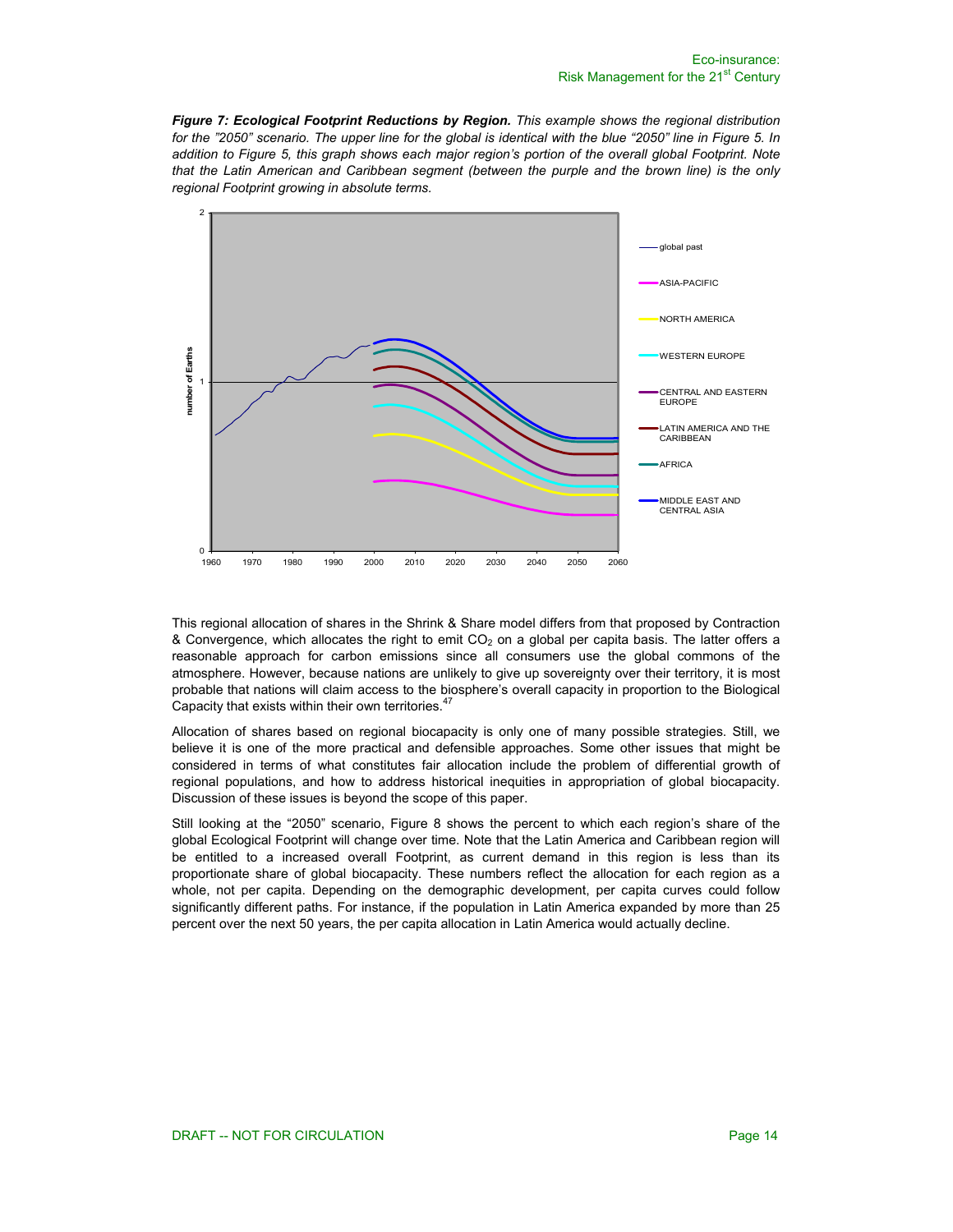*Figure 7: Ecological Footprint Reductions by Region. This example shows the regional distribution for the "2050" scenario. The upper line for the global is identical with the blue "2050" line in Figure 5. In addition to Figure 5, this graph shows each major region's portion of the overall global Footprint. Note that the Latin American and Caribbean segment (between the purple and the brown line) is the only regional Footprint growing in absolute terms.* 



This regional allocation of shares in the Shrink & Share model differs from that proposed by Contraction  $\&$  Convergence, which allocates the right to emit CO<sub>2</sub> on a global per capita basis. The latter offers a reasonable approach for carbon emissions since all consumers use the global commons of the atmosphere. However, because nations are unlikely to give up sovereignty over their territory, it is most probable that nations will claim access to the biosphere's overall capacity in proportion to the Biological Capacity that exists within their own territories.<sup>47</sup>

Allocation of shares based on regional biocapacity is only one of many possible strategies. Still, we believe it is one of the more practical and defensible approaches. Some other issues that might be considered in terms of what constitutes fair allocation include the problem of differential growth of regional populations, and how to address historical inequities in appropriation of global biocapacity. Discussion of these issues is beyond the scope of this paper.

Still looking at the "2050" scenario, Figure 8 shows the percent to which each region's share of the global Ecological Footprint will change over time. Note that the Latin America and Caribbean region will be entitled to a increased overall Footprint, as current demand in this region is less than its proportionate share of global biocapacity. These numbers reflect the allocation for each region as a whole, not per capita. Depending on the demographic development, per capita curves could follow significantly different paths. For instance, if the population in Latin America expanded by more than 25 percent over the next 50 years, the per capita allocation in Latin America would actually decline.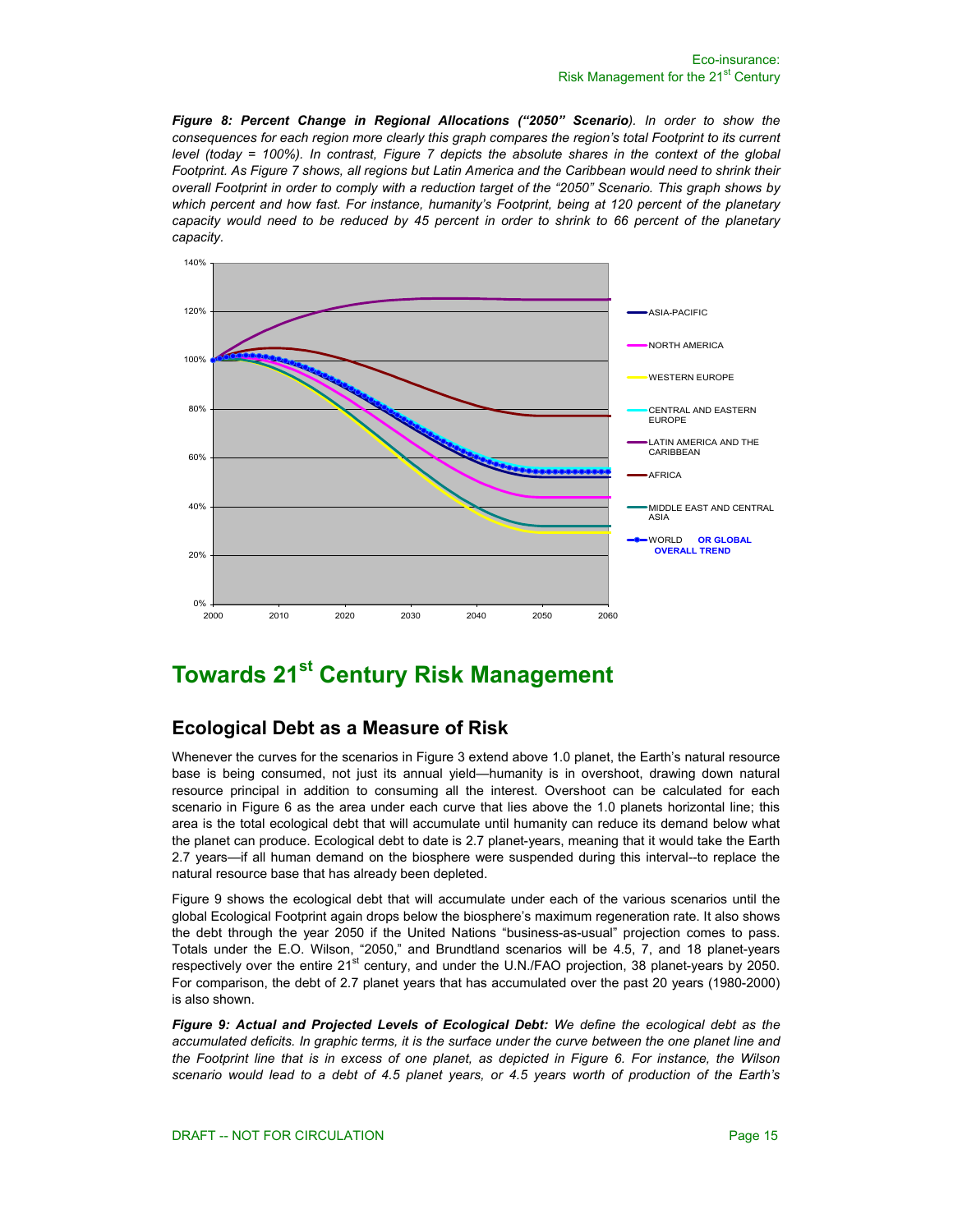*Figure 8: Percent Change in Regional Allocations ("2050" Scenario). In order to show the consequences for each region more clearly this graph compares the region's total Footprint to its current level (today = 100%). In contrast, Figure 7 depicts the absolute shares in the context of the global Footprint. As Figure 7 shows, all regions but Latin America and the Caribbean would need to shrink their overall Footprint in order to comply with a reduction target of the "2050" Scenario. This graph shows by*  which percent and how fast. For instance, humanity's Footprint, being at 120 percent of the planetary *capacity would need to be reduced by 45 percent in order to shrink to 66 percent of the planetary capacity.* 



# **Towards 21st Century Risk Management**

# **Ecological Debt as a Measure of Risk**

Whenever the curves for the scenarios in Figure 3 extend above 1.0 planet, the Earth's natural resource base is being consumed, not just its annual yield—humanity is in overshoot, drawing down natural resource principal in addition to consuming all the interest. Overshoot can be calculated for each scenario in Figure 6 as the area under each curve that lies above the 1.0 planets horizontal line; this area is the total ecological debt that will accumulate until humanity can reduce its demand below what the planet can produce. Ecological debt to date is 2.7 planet-years, meaning that it would take the Earth 2.7 years—if all human demand on the biosphere were suspended during this interval--to replace the natural resource base that has already been depleted.

Figure 9 shows the ecological debt that will accumulate under each of the various scenarios until the global Ecological Footprint again drops below the biosphere's maximum regeneration rate. It also shows the debt through the year 2050 if the United Nations "business-as-usual" projection comes to pass. Totals under the E.O. Wilson, "2050," and Brundtland scenarios will be 4.5, 7, and 18 planet-years respectively over the entire 21<sup>st</sup> century, and under the U.N./FAO projection, 38 planet-years by 2050. For comparison, the debt of 2.7 planet years that has accumulated over the past 20 years (1980-2000) is also shown.

*Figure 9: Actual and Projected Levels of Ecological Debt: We define the ecological debt as the accumulated deficits. In graphic terms, it is the surface under the curve between the one planet line and the Footprint line that is in excess of one planet, as depicted in Figure 6. For instance, the Wilson scenario would lead to a debt of 4.5 planet years, or 4.5 years worth of production of the Earth's*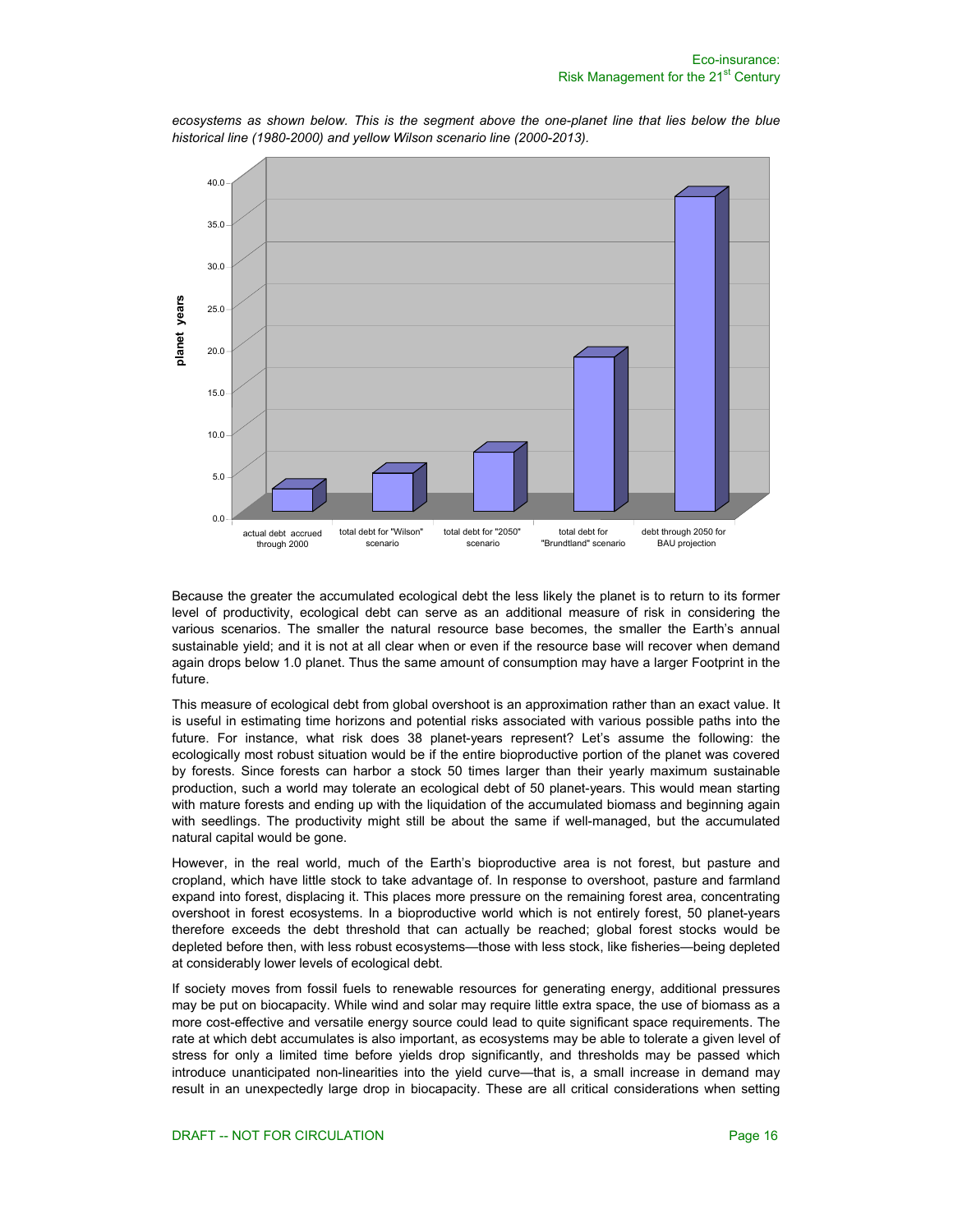

*ecosystems as shown below. This is the segment above the one-planet line that lies below the blue historical line (1980-2000) and yellow Wilson scenario line (2000-2013).* 

Because the greater the accumulated ecological debt the less likely the planet is to return to its former level of productivity, ecological debt can serve as an additional measure of risk in considering the various scenarios. The smaller the natural resource base becomes, the smaller the Earth's annual sustainable yield; and it is not at all clear when or even if the resource base will recover when demand again drops below 1.0 planet. Thus the same amount of consumption may have a larger Footprint in the future.

This measure of ecological debt from global overshoot is an approximation rather than an exact value. It is useful in estimating time horizons and potential risks associated with various possible paths into the future. For instance, what risk does 38 planet-years represent? Let's assume the following: the ecologically most robust situation would be if the entire bioproductive portion of the planet was covered by forests. Since forests can harbor a stock 50 times larger than their yearly maximum sustainable production, such a world may tolerate an ecological debt of 50 planet-years. This would mean starting with mature forests and ending up with the liquidation of the accumulated biomass and beginning again with seedlings. The productivity might still be about the same if well-managed, but the accumulated natural capital would be gone.

However, in the real world, much of the Earth's bioproductive area is not forest, but pasture and cropland, which have little stock to take advantage of. In response to overshoot, pasture and farmland expand into forest, displacing it. This places more pressure on the remaining forest area, concentrating overshoot in forest ecosystems. In a bioproductive world which is not entirely forest, 50 planet-years therefore exceeds the debt threshold that can actually be reached; global forest stocks would be depleted before then, with less robust ecosystems—those with less stock, like fisheries—being depleted at considerably lower levels of ecological debt.

If society moves from fossil fuels to renewable resources for generating energy, additional pressures may be put on biocapacity. While wind and solar may require little extra space, the use of biomass as a more cost-effective and versatile energy source could lead to quite significant space requirements. The rate at which debt accumulates is also important, as ecosystems may be able to tolerate a given level of stress for only a limited time before yields drop significantly, and thresholds may be passed which introduce unanticipated non-linearities into the yield curve—that is, a small increase in demand may result in an unexpectedly large drop in biocapacity. These are all critical considerations when setting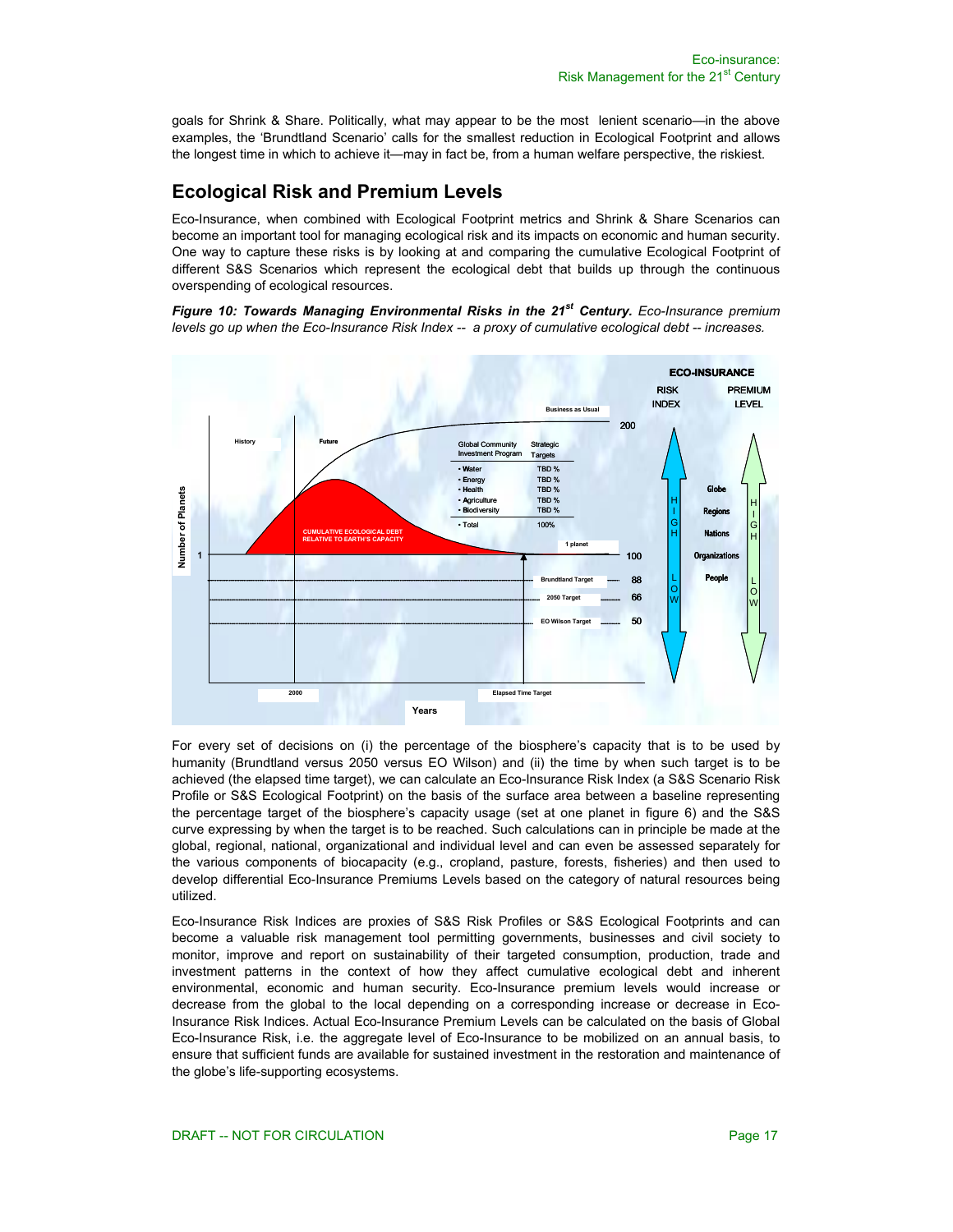goals for Shrink & Share. Politically, what may appear to be the most lenient scenario—in the above examples, the 'Brundtland Scenario' calls for the smallest reduction in Ecological Footprint and allows the longest time in which to achieve it—may in fact be, from a human welfare perspective, the riskiest.

# **Ecological Risk and Premium Levels**

Eco-Insurance, when combined with Ecological Footprint metrics and Shrink & Share Scenarios can become an important tool for managing ecological risk and its impacts on economic and human security. One way to capture these risks is by looking at and comparing the cumulative Ecological Footprint of different S&S Scenarios which represent the ecological debt that builds up through the continuous overspending of ecological resources.

*Figure 10: Towards Managing Environmental Risks in the 21st Century. Eco-Insurance premium levels go up when the Eco-Insurance Risk Index -- a proxy of cumulative ecological debt -- increases.* 



For every set of decisions on (i) the percentage of the biosphere's capacity that is to be used by humanity (Brundtland versus 2050 versus EO Wilson) and (ii) the time by when such target is to be achieved (the elapsed time target), we can calculate an Eco-Insurance Risk Index (a S&S Scenario Risk Profile or S&S Ecological Footprint) on the basis of the surface area between a baseline representing the percentage target of the biosphere's capacity usage (set at one planet in figure 6) and the S&S curve expressing by when the target is to be reached. Such calculations can in principle be made at the global, regional, national, organizational and individual level and can even be assessed separately for the various components of biocapacity (e.g., cropland, pasture, forests, fisheries) and then used to develop differential Eco-Insurance Premiums Levels based on the category of natural resources being utilized.

Eco-Insurance Risk Indices are proxies of S&S Risk Profiles or S&S Ecological Footprints and can become a valuable risk management tool permitting governments, businesses and civil society to monitor, improve and report on sustainability of their targeted consumption, production, trade and investment patterns in the context of how they affect cumulative ecological debt and inherent environmental, economic and human security. Eco-Insurance premium levels would increase or decrease from the global to the local depending on a corresponding increase or decrease in Eco-Insurance Risk Indices. Actual Eco-Insurance Premium Levels can be calculated on the basis of Global Eco-Insurance Risk, i.e. the aggregate level of Eco-Insurance to be mobilized on an annual basis, to ensure that sufficient funds are available for sustained investment in the restoration and maintenance of the globe's life-supporting ecosystems.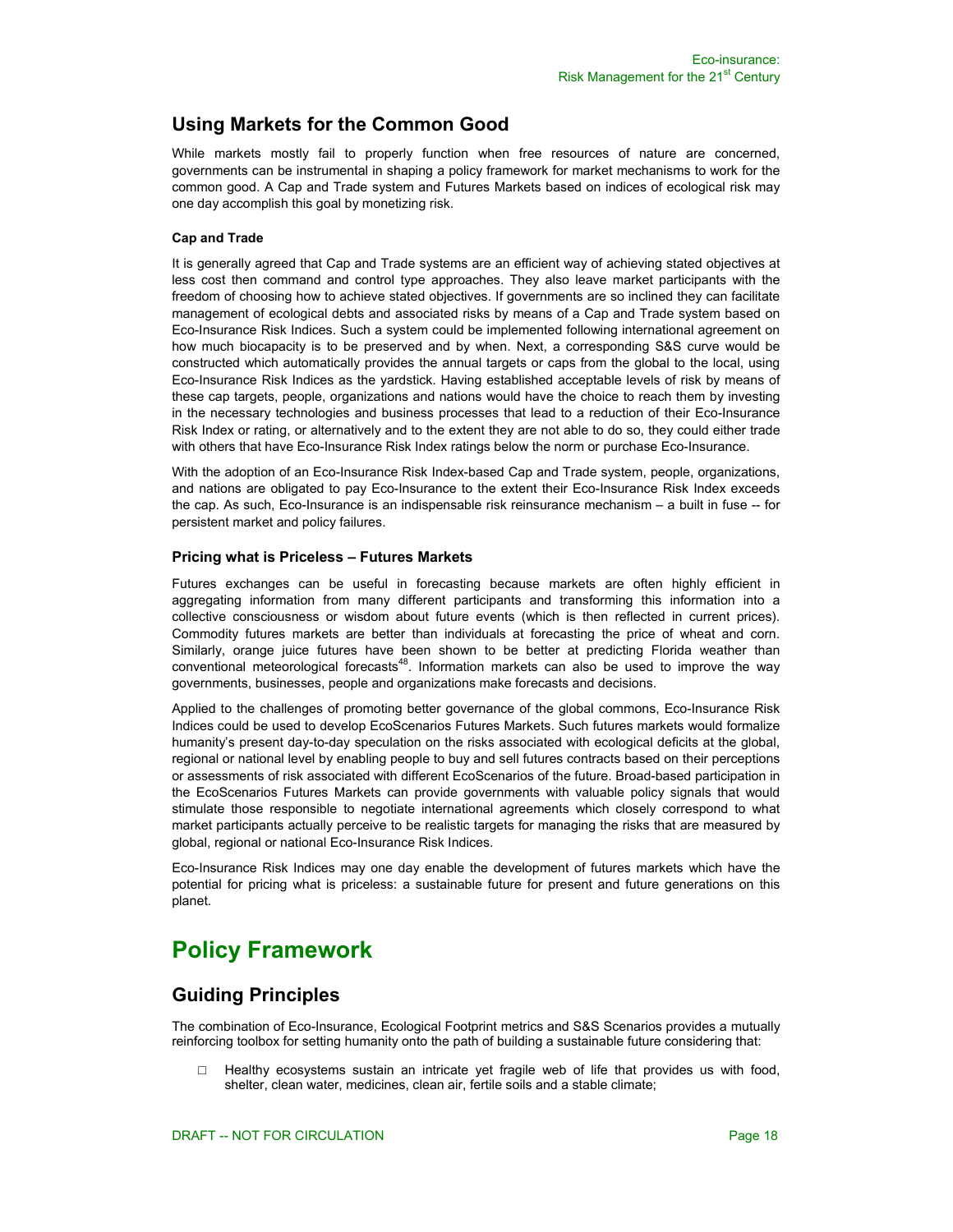# **Using Markets for the Common Good**

While markets mostly fail to properly function when free resources of nature are concerned, governments can be instrumental in shaping a policy framework for market mechanisms to work for the common good. A Cap and Trade system and Futures Markets based on indices of ecological risk may one day accomplish this goal by monetizing risk.

#### **Cap and Trade**

It is generally agreed that Cap and Trade systems are an efficient way of achieving stated objectives at less cost then command and control type approaches. They also leave market participants with the freedom of choosing how to achieve stated objectives. If governments are so inclined they can facilitate management of ecological debts and associated risks by means of a Cap and Trade system based on Eco-Insurance Risk Indices. Such a system could be implemented following international agreement on how much biocapacity is to be preserved and by when. Next, a corresponding S&S curve would be constructed which automatically provides the annual targets or caps from the global to the local, using Eco-Insurance Risk Indices as the yardstick. Having established acceptable levels of risk by means of these cap targets, people, organizations and nations would have the choice to reach them by investing in the necessary technologies and business processes that lead to a reduction of their Eco-Insurance Risk Index or rating, or alternatively and to the extent they are not able to do so, they could either trade with others that have Eco-Insurance Risk Index ratings below the norm or purchase Eco-Insurance.

With the adoption of an Eco-Insurance Risk Index-based Cap and Trade system, people, organizations, and nations are obligated to pay Eco-Insurance to the extent their Eco-Insurance Risk Index exceeds the cap. As such, Eco-Insurance is an indispensable risk reinsurance mechanism – a built in fuse -- for persistent market and policy failures.

#### **Pricing what is Priceless – Futures Markets**

Futures exchanges can be useful in forecasting because markets are often highly efficient in aggregating information from many different participants and transforming this information into a collective consciousness or wisdom about future events (which is then reflected in current prices). Commodity futures markets are better than individuals at forecasting the price of wheat and corn. Similarly, orange juice futures have been shown to be better at predicting Florida weather than conventional meteorological forecasts<sup>48</sup>. Information markets can also be used to improve the way governments, businesses, people and organizations make forecasts and decisions.

Applied to the challenges of promoting better governance of the global commons, Eco-Insurance Risk Indices could be used to develop EcoScenarios Futures Markets. Such futures markets would formalize humanity's present day-to-day speculation on the risks associated with ecological deficits at the global, regional or national level by enabling people to buy and sell futures contracts based on their perceptions or assessments of risk associated with different EcoScenarios of the future. Broad-based participation in the EcoScenarios Futures Markets can provide governments with valuable policy signals that would stimulate those responsible to negotiate international agreements which closely correspond to what market participants actually perceive to be realistic targets for managing the risks that are measured by global, regional or national Eco-Insurance Risk Indices.

Eco-Insurance Risk Indices may one day enable the development of futures markets which have the potential for pricing what is priceless: a sustainable future for present and future generations on this planet.

# **Policy Framework**

# **Guiding Principles**

The combination of Eco-Insurance, Ecological Footprint metrics and S&S Scenarios provides a mutually reinforcing toolbox for setting humanity onto the path of building a sustainable future considering that:

 $\Box$  Healthy ecosystems sustain an intricate yet fragile web of life that provides us with food, shelter, clean water, medicines, clean air, fertile soils and a stable climate;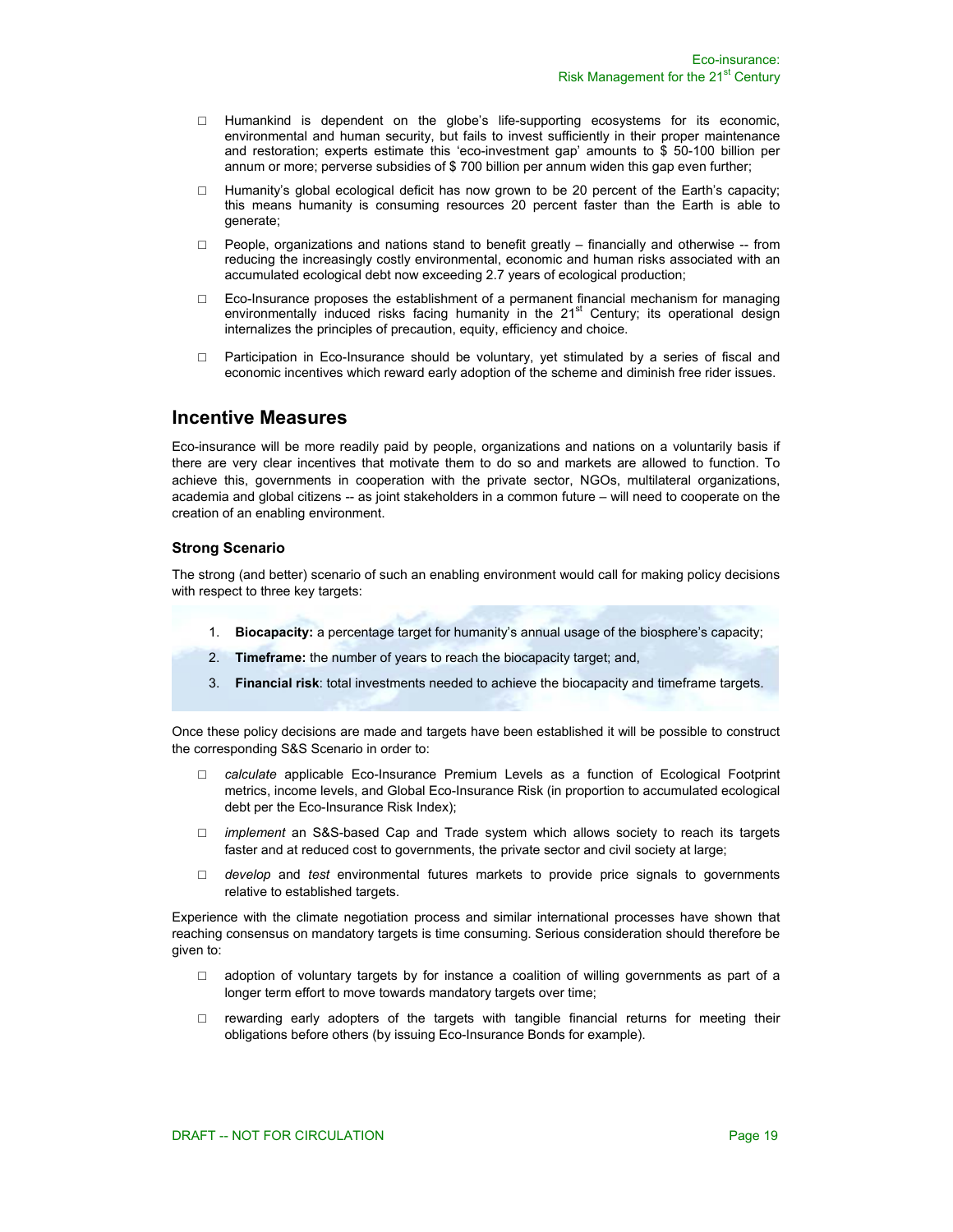- □ Humankind is dependent on the globe's life-supporting ecosystems for its economic, environmental and human security, but fails to invest sufficiently in their proper maintenance and restoration; experts estimate this 'eco-investment gap' amounts to \$ 50-100 billion per annum or more; perverse subsidies of \$ 700 billion per annum widen this gap even further;
- $\Box$  Humanity's global ecological deficit has now grown to be 20 percent of the Earth's capacity; this means humanity is consuming resources 20 percent faster than the Earth is able to generate;
- $\Box$  People, organizations and nations stand to benefit greatly financially and otherwise -- from reducing the increasingly costly environmental, economic and human risks associated with an accumulated ecological debt now exceeding 2.7 years of ecological production;
- □ Eco-Insurance proposes the establishment of a permanent financial mechanism for managing environmentally induced risks facing humanity in the  $21<sup>st</sup>$  Century; its operational design internalizes the principles of precaution, equity, efficiency and choice.
- □ Participation in Eco-Insurance should be voluntary, yet stimulated by a series of fiscal and economic incentives which reward early adoption of the scheme and diminish free rider issues.

### **Incentive Measures**

Eco-insurance will be more readily paid by people, organizations and nations on a voluntarily basis if there are very clear incentives that motivate them to do so and markets are allowed to function. To achieve this, governments in cooperation with the private sector, NGOs, multilateral organizations, academia and global citizens -- as joint stakeholders in a common future – will need to cooperate on the creation of an enabling environment.

### **Strong Scenario**

The strong (and better) scenario of such an enabling environment would call for making policy decisions with respect to three key targets:

- 1. **Biocapacity:** a percentage target for humanity's annual usage of the biosphere's capacity;
- 2. **Timeframe:** the number of years to reach the biocapacity target; and,
- 3. **Financial risk**: total investments needed to achieve the biocapacity and timeframe targets.

Once these policy decisions are made and targets have been established it will be possible to construct the corresponding S&S Scenario in order to:

- □ *calculate* applicable Eco-Insurance Premium Levels as a function of Ecological Footprint metrics, income levels, and Global Eco-Insurance Risk (in proportion to accumulated ecological debt per the Eco-Insurance Risk Index);
- □ *implement* an S&S-based Cap and Trade system which allows society to reach its targets faster and at reduced cost to governments, the private sector and civil society at large;
- □ *develop* and *test* environmental futures markets to provide price signals to governments relative to established targets.

Experience with the climate negotiation process and similar international processes have shown that reaching consensus on mandatory targets is time consuming. Serious consideration should therefore be given to:

- $\Box$  adoption of voluntary targets by for instance a coalition of willing governments as part of a longer term effort to move towards mandatory targets over time;
- $\square$  rewarding early adopters of the targets with tangible financial returns for meeting their obligations before others (by issuing Eco-Insurance Bonds for example).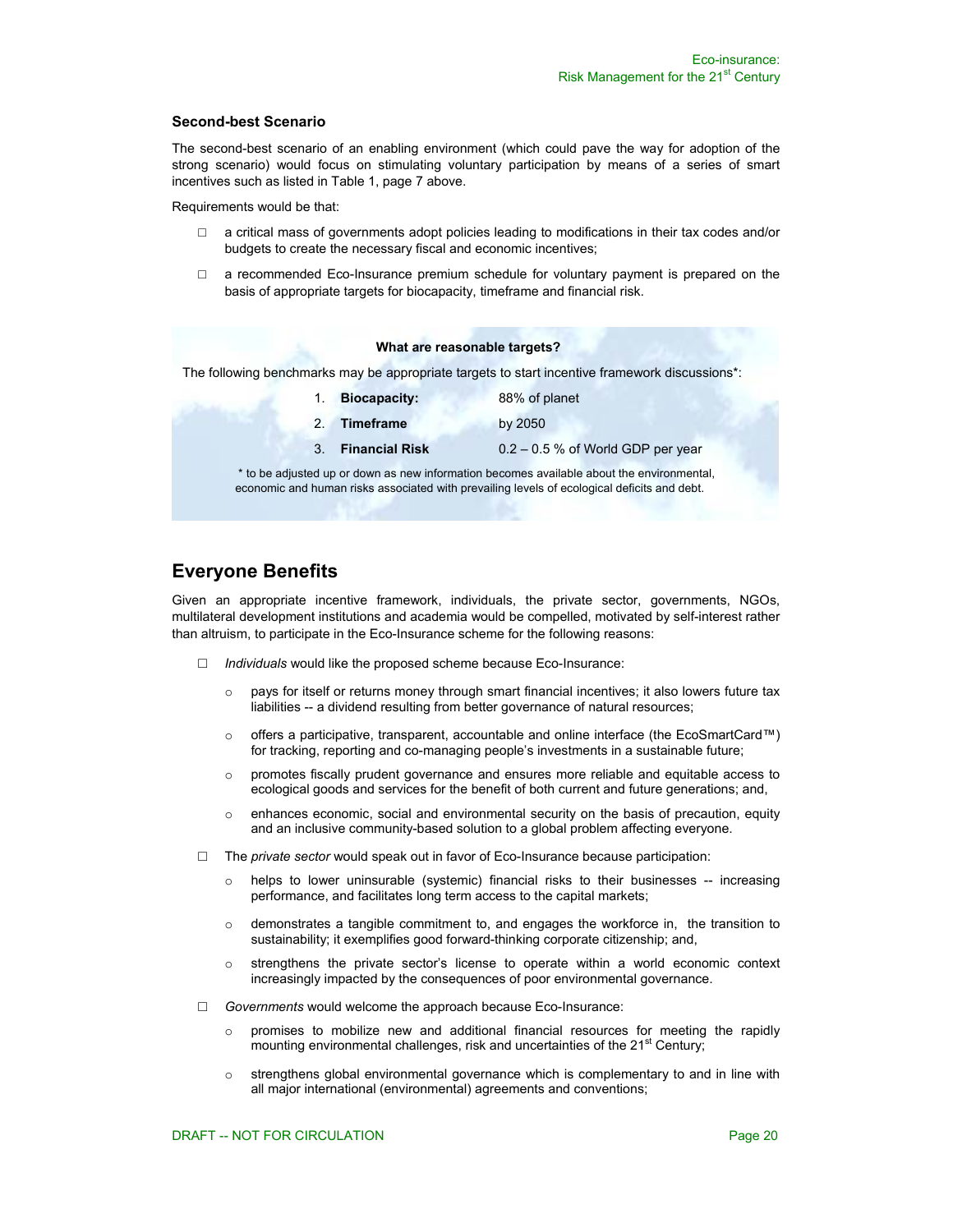#### **Second-best Scenario**

The second-best scenario of an enabling environment (which could pave the way for adoption of the strong scenario) would focus on stimulating voluntary participation by means of a series of smart incentives such as listed in Table 1, page 7 above.

Requirements would be that:

- □ a critical mass of governments adopt policies leading to modifications in their tax codes and/or budgets to create the necessary fiscal and economic incentives;
- $\Box$  a recommended Eco-Insurance premium schedule for voluntary payment is prepared on the basis of appropriate targets for biocapacity, timeframe and financial risk.

#### **What are reasonable targets?**

The following benchmarks may be appropriate targets to start incentive framework discussions\*:

|    | 1. Biocapacity:   | 88% of planet                       |
|----|-------------------|-------------------------------------|
| 2. | Timeframe         | by 2050                             |
|    | 3. Financial Risk | $0.2 - 0.5$ % of World GDP per year |
|    |                   |                                     |

 \* to be adjusted up or down as new information becomes available about the environmental, economic and human risks associated with prevailing levels of ecological deficits and debt.

### **Everyone Benefits**

Given an appropriate incentive framework, individuals, the private sector, governments, NGOs, multilateral development institutions and academia would be compelled, motivated by self-interest rather than altruism, to participate in the Eco-Insurance scheme for the following reasons:

- □ *Individuals* would like the proposed scheme because Eco-Insurance:
	- $\circ$  pays for itself or returns money through smart financial incentives; it also lowers future tax liabilities -- a dividend resulting from better governance of natural resources;
	- o offers a participative, transparent, accountable and online interface (the EcoSmartCard™) for tracking, reporting and co-managing people's investments in a sustainable future;
	- o promotes fiscally prudent governance and ensures more reliable and equitable access to ecological goods and services for the benefit of both current and future generations; and,
	- $\circ$  enhances economic, social and environmental security on the basis of precaution, equity and an inclusive community-based solution to a global problem affecting everyone.
- $\Box$  The *private sector* would speak out in favor of Eco-Insurance because participation:
	- $\circ$  helps to lower uninsurable (systemic) financial risks to their businesses  $-$  increasing performance, and facilitates long term access to the capital markets;
	- $\circ$  demonstrates a tangible commitment to, and engages the workforce in, the transition to sustainability; it exemplifies good forward-thinking corporate citizenship; and,
	- o strengthens the private sector's license to operate within a world economic context increasingly impacted by the consequences of poor environmental governance.
- □ *Governments* would welcome the approach because Eco-Insurance:
	- $\circ$  promises to mobilize new and additional financial resources for meeting the rapidly mounting environmental challenges, risk and uncertainties of the 21<sup>st</sup> Century;
	- $\circ$  strengthens global environmental governance which is complementary to and in line with all major international (environmental) agreements and conventions;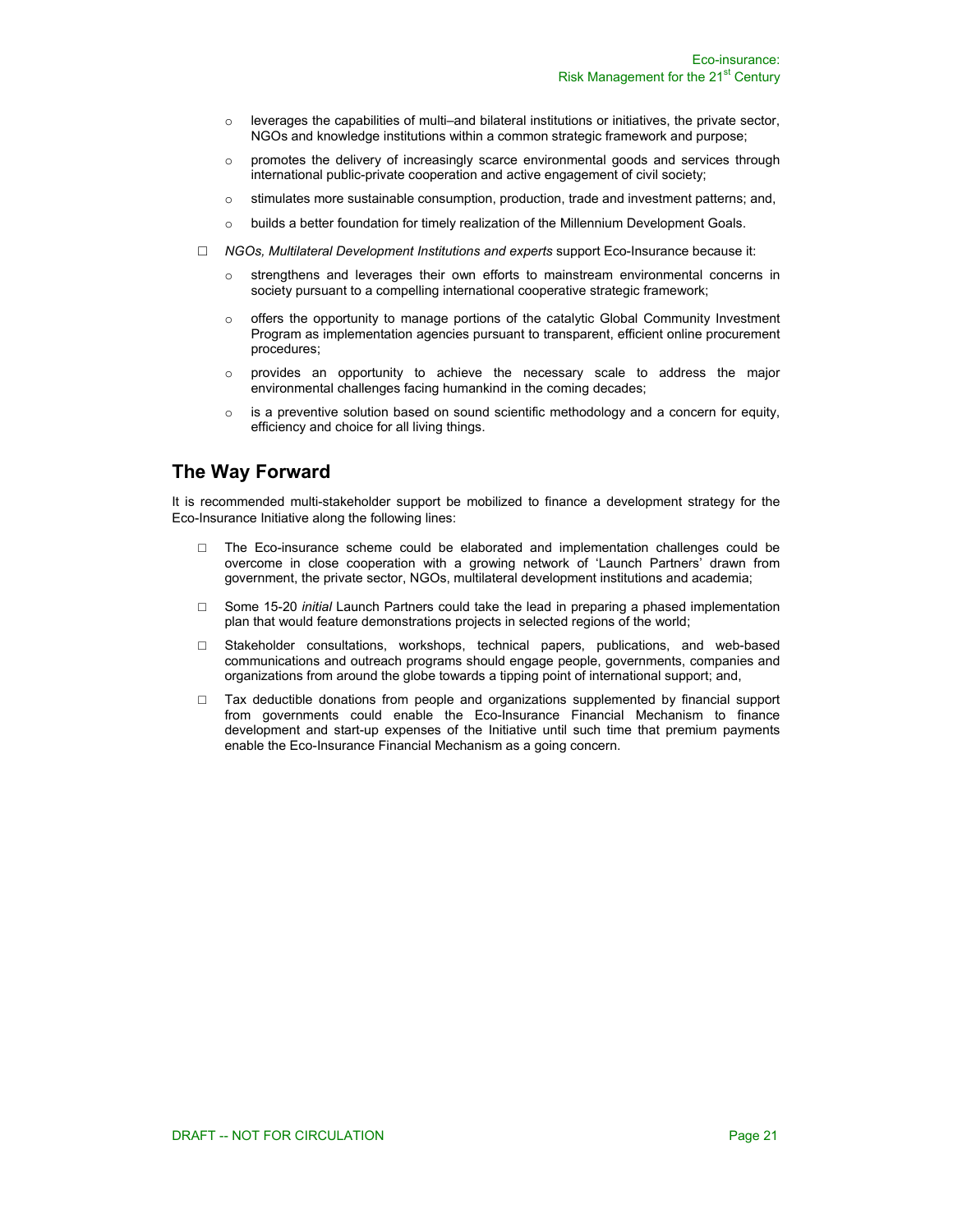- $\circ$  leverages the capabilities of multi–and bilateral institutions or initiatives, the private sector, NGOs and knowledge institutions within a common strategic framework and purpose;
- $\circ$  promotes the delivery of increasingly scarce environmental goods and services through international public-private cooperation and active engagement of civil society;
- $\circ$  stimulates more sustainable consumption, production, trade and investment patterns; and,
- o builds a better foundation for timely realization of the Millennium Development Goals.
- □ *NGOs, Multilateral Development Institutions and experts* support Eco-Insurance because it:
	- $\circ$  strengthens and leverages their own efforts to mainstream environmental concerns in society pursuant to a compelling international cooperative strategic framework;
	- $\circ$  offers the opportunity to manage portions of the catalytic Global Community Investment Program as implementation agencies pursuant to transparent, efficient online procurement procedures;
	- $\circ$  provides an opportunity to achieve the necessary scale to address the major environmental challenges facing humankind in the coming decades;
	- $\circ$  is a preventive solution based on sound scientific methodology and a concern for equity, efficiency and choice for all living things.

### **The Way Forward**

It is recommended multi-stakeholder support be mobilized to finance a development strategy for the Eco-Insurance Initiative along the following lines:

- □ The Eco-insurance scheme could be elaborated and implementation challenges could be overcome in close cooperation with a growing network of 'Launch Partners' drawn from government, the private sector, NGOs, multilateral development institutions and academia;
- □ Some 15-20 *initial* Launch Partners could take the lead in preparing a phased implementation plan that would feature demonstrations projects in selected regions of the world;
- □ Stakeholder consultations, workshops, technical papers, publications, and web-based communications and outreach programs should engage people, governments, companies and organizations from around the globe towards a tipping point of international support; and,
- □ Tax deductible donations from people and organizations supplemented by financial support from governments could enable the Eco-Insurance Financial Mechanism to finance development and start-up expenses of the Initiative until such time that premium payments enable the Eco-Insurance Financial Mechanism as a going concern.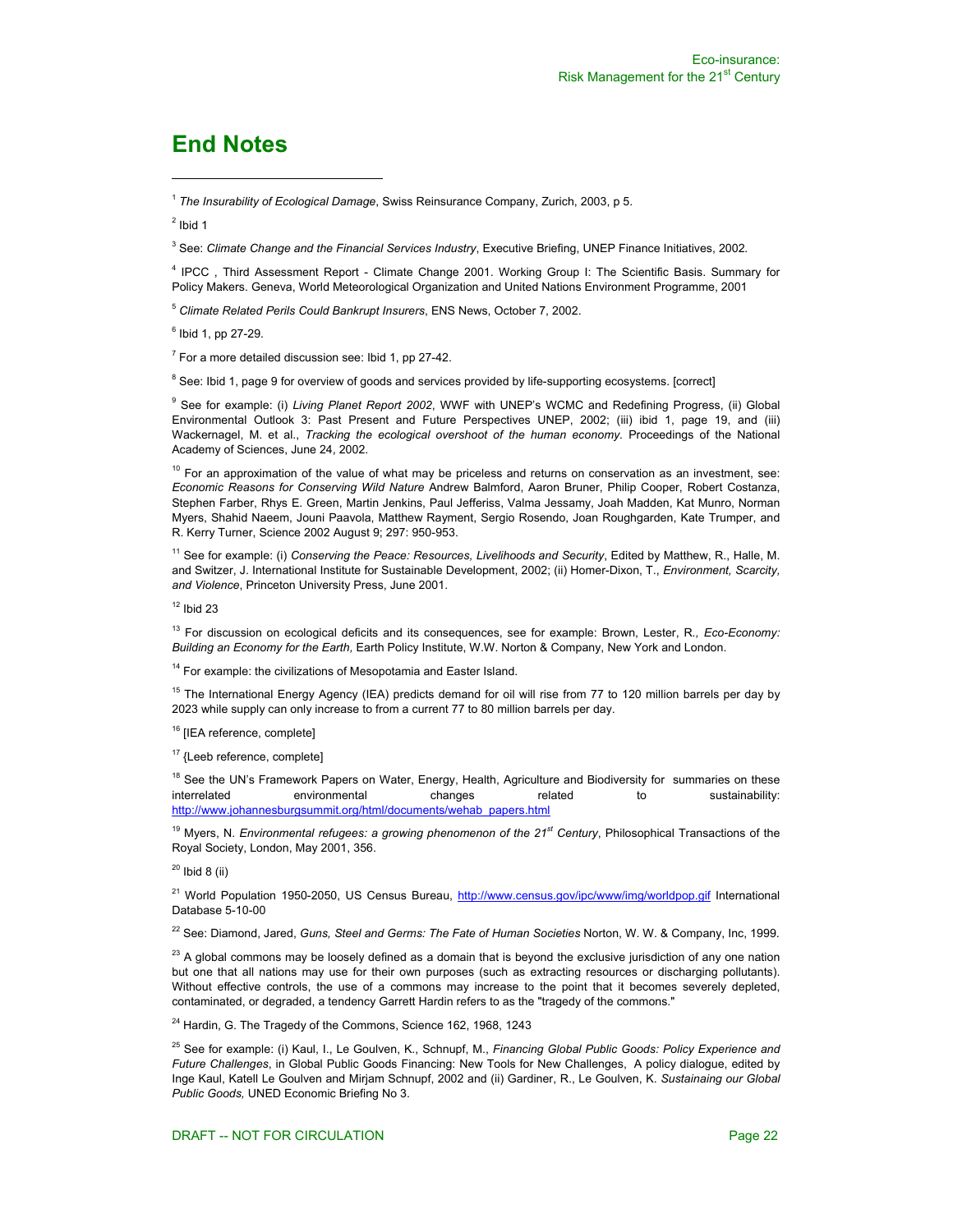# **End Notes**

<sup>1</sup> *The Insurability of Ecological Damage*, Swiss Reinsurance Company, Zurich, 2003, p 5.

 $2$  Ibid 1

 $\overline{a}$ 

<sup>3</sup> See: *Climate Change and the Financial Services Industry*, Executive Briefing, UNEP Finance Initiatives, 2002*.*

4 IPCC , Third Assessment Report - Climate Change 2001. Working Group I: The Scientific Basis. Summary for Policy Makers. Geneva, World Meteorological Organization and United Nations Environment Programme, 2001

<sup>5</sup> *Climate Related Perils Could Bankrupt Insurers*, ENS News, October 7, 2002.

<sup>6</sup> Ibid 1, pp 27-29.

 $7$  For a more detailed discussion see: Ibid 1, pp 27-42.

<sup>8</sup> See: Ibid 1, page 9 for overview of goods and services provided by life-supporting ecosystems. [correct]

9 See for example: (i) *Living Planet Report 2002*, WWF with UNEP's WCMC and Redefining Progress, (ii) Global Environmental Outlook 3: Past Present and Future Perspectives UNEP, 2002; (iii) ibid 1, page 19, and (iii) Wackernagel, M. et al., *Tracking the ecological overshoot of the human economy.* Proceedings of the National Academy of Sciences, June 24, 2002.

 $10$  For an approximation of the value of what may be priceless and returns on conservation as an investment, see: *Economic Reasons for Conserving Wild Nature* Andrew Balmford, Aaron Bruner, Philip Cooper, Robert Costanza, Stephen Farber, Rhys E. Green, Martin Jenkins, Paul Jefferiss, Valma Jessamy, Joah Madden, Kat Munro, Norman Myers, Shahid Naeem, Jouni Paavola, Matthew Rayment, Sergio Rosendo, Joan Roughgarden, Kate Trumper, and R. Kerry Turner, Science 2002 August 9; 297: 950-953.

11 See for example: (i) *Conserving the Peace: Resources, Livelihoods and Security*, Edited by Matthew, R., Halle, M. and Switzer, J. International Institute for Sustainable Development, 2002; (ii) Homer-Dixon, T., *Environment, Scarcity, and Violence*, Princeton University Press, June 2001.

 $12$  Ibid 23

13 For discussion on ecological deficits and its consequences, see for example: Brown, Lester, R*., Eco-Economy: Building an Economy for the Earth,* Earth Policy Institute, W.W. Norton & Company, New York and London.

<sup>14</sup> For example: the civilizations of Mesopotamia and Easter Island.

<sup>15</sup> The International Energy Agency (IEA) predicts demand for oil will rise from 77 to 120 million barrels per day by 2023 while supply can only increase to from a current 77 to 80 million barrels per day.

<sup>16</sup> [IEA reference, complete]

<sup>17</sup> {Leeb reference, complete]

<sup>18</sup> See the UN's Framework Papers on Water, Energy, Health, Agriculture and Biodiversity for summaries on these<br>interrelated **proprianges** changes related to sustainability environmental changes related to sustainability: http://www.johannesburgsummit.org/html/documents/wehab\_papers.html

19 Myers, N. *Environmental refugees: a growing phenomenon of the 21st Century*, Philosophical Transactions of the Royal Society, London, May 2001, 356.

 $20$  Ibid 8 (ii)

<sup>21</sup> World Population 1950-2050, US Census Bureau, http://www.census.gov/ipc/www/img/worldpop.gif International Database 5-10-00

22 See: Diamond, Jared, *Guns, Steel and Germs: The Fate of Human Societies* Norton, W. W. & Company, Inc, 1999.

 $^{23}$  A global commons may be loosely defined as a domain that is beyond the exclusive jurisdiction of any one nation but one that all nations may use for their own purposes (such as extracting resources or discharging pollutants). Without effective controls, the use of a commons may increase to the point that it becomes severely depleted, contaminated, or degraded, a tendency Garrett Hardin refers to as the "tragedy of the commons."

<sup>24</sup> Hardin, G. The Tragedy of the Commons, Science 162, 1968, 1243

25 See for example: (i) Kaul, I., Le Goulven, K., Schnupf, M., *Financing Global Public Goods: Policy Experience and Future Challenges*, in Global Public Goods Financing: New Tools for New Challenges, A policy dialogue, edited by Inge Kaul, Katell Le Goulven and Mirjam Schnupf, 2002 and (ii) Gardiner, R., Le Goulven, K. *Sustainaing our Global Public Goods,* UNED Economic Briefing No 3.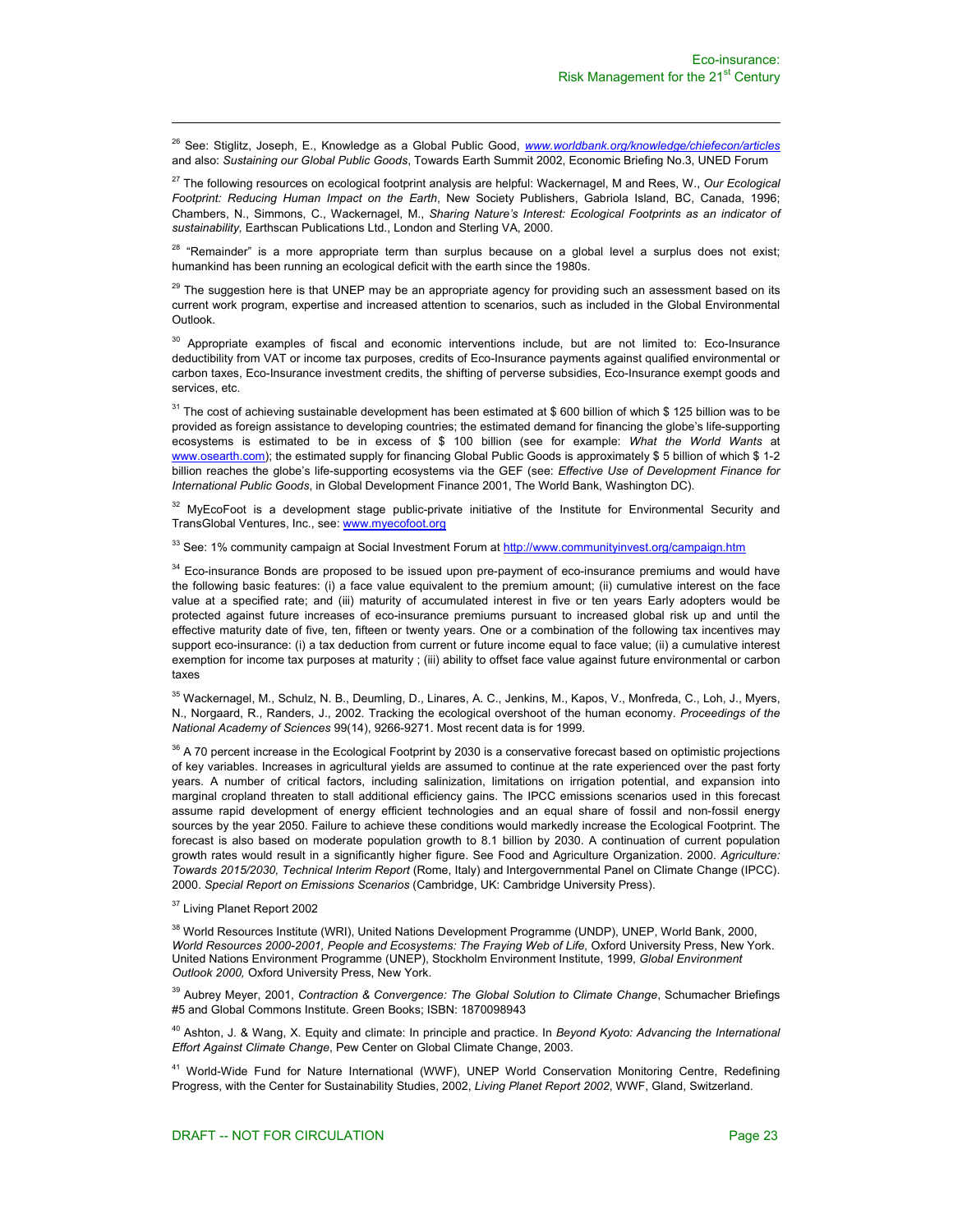26 See: Stiglitz, Joseph, E., Knowledge as a Global Public Good, *www.worldbank.org/knowledge/chiefecon/articles* and also: *Sustaining our Global Public Goods*, Towards Earth Summit 2002, Economic Briefing No.3, UNED Forum

27 The following resources on ecological footprint analysis are helpful: Wackernagel, M and Rees, W., *Our Ecological Footprint: Reducing Human Impact on the Earth*, New Society Publishers, Gabriola Island, BC, Canada, 1996; Chambers, N., Simmons, C., Wackernagel, M., *Sharing Nature's Interest: Ecological Footprints as an indicator of sustainability,* Earthscan Publications Ltd., London and Sterling VA, 2000.

<sup>28</sup> "Remainder" is a more appropriate term than surplus because on a global level a surplus does not exist; humankind has been running an ecological deficit with the earth since the 1980s.

<sup>29</sup> The suggestion here is that UNEP may be an appropriate agency for providing such an assessment based on its current work program, expertise and increased attention to scenarios, such as included in the Global Environmental Outlook.

<sup>30</sup> Appropriate examples of fiscal and economic interventions include, but are not limited to: Eco-Insurance deductibility from VAT or income tax purposes, credits of Eco-Insurance payments against qualified environmental or carbon taxes, Eco-Insurance investment credits, the shifting of perverse subsidies, Eco-Insurance exempt goods and services, etc.

<sup>31</sup> The cost of achieving sustainable development has been estimated at \$ 600 billion of which \$ 125 billion was to be provided as foreign assistance to developing countries; the estimated demand for financing the globe's life-supporting ecosystems is estimated to be in excess of \$ 100 billion (see for example: *What the World Wants* at www.osearth.com); the estimated supply for financing Global Public Goods is approximately \$ 5 billion of which \$ 1-2 billion reaches the globe's life-supporting ecosystems via the GEF (see: *Effective Use of Development Finance for International Public Goods*, in Global Development Finance 2001, The World Bank, Washington DC).

<sup>32</sup> MyEcoFoot is a development stage public-private initiative of the Institute for Environmental Security and TransGlobal Ventures, Inc., see: www.myecofoot.org

<sup>33</sup> See: 1% community campaign at Social Investment Forum at http://www.communityinvest.org/campaign.htm

<sup>34</sup> Eco-insurance Bonds are proposed to be issued upon pre-payment of eco-insurance premiums and would have the following basic features: (i) a face value equivalent to the premium amount; (ii) cumulative interest on the face value at a specified rate; and (iii) maturity of accumulated interest in five or ten years Early adopters would be protected against future increases of eco-insurance premiums pursuant to increased global risk up and until the effective maturity date of five, ten, fifteen or twenty years. One or a combination of the following tax incentives may support eco-insurance: (i) a tax deduction from current or future income equal to face value; (ii) a cumulative interest exemption for income tax purposes at maturity ; (iii) ability to offset face value against future environmental or carbon taxes

<sup>35</sup> Wackernagel, M., Schulz, N. B., Deumling, D., Linares, A. C., Jenkins, M., Kapos, V., Monfreda, C., Loh, J., Myers, N., Norgaard, R., Randers, J., 2002. Tracking the ecological overshoot of the human economy. *Proceedings of the National Academy of Sciences* 99(14), 9266-9271. Most recent data is for 1999.

 $36$  A 70 percent increase in the Ecological Footprint by 2030 is a conservative forecast based on optimistic projections of key variables. Increases in agricultural yields are assumed to continue at the rate experienced over the past forty years. A number of critical factors, including salinization, limitations on irrigation potential, and expansion into marginal cropland threaten to stall additional efficiency gains. The IPCC emissions scenarios used in this forecast assume rapid development of energy efficient technologies and an equal share of fossil and non-fossil energy sources by the year 2050. Failure to achieve these conditions would markedly increase the Ecological Footprint. The forecast is also based on moderate population growth to 8.1 billion by 2030. A continuation of current population growth rates would result in a significantly higher figure. See Food and Agriculture Organization. 2000. *Agriculture: Towards 2015/2030, Technical Interim Report* (Rome, Italy) and Intergovernmental Panel on Climate Change (IPCC). 2000. *Special Report on Emissions Scenarios* (Cambridge, UK: Cambridge University Press).

<sup>37</sup> Living Planet Report 2002

l

<sup>38</sup> World Resources Institute (WRI), United Nations Development Programme (UNDP), UNEP, World Bank, 2000, *World Resources 2000-2001, People and Ecosystems: The Fraying Web of Life,* Oxford University Press, New York. United Nations Environment Programme (UNEP), Stockholm Environment Institute, 1999, *Global Environment Outlook 2000,* Oxford University Press, New York.

39 Aubrey Meyer, 2001, *Contraction & Convergence: The Global Solution to Climate Change*, Schumacher Briefings #5 and Global Commons Institute. Green Books; ISBN: 1870098943

40 Ashton, J. & Wang, X. Equity and climate: In principle and practice. In *Beyond Kyoto: Advancing the International Effort Against Climate Change*, Pew Center on Global Climate Change, 2003.

<sup>41</sup> World-Wide Fund for Nature International (WWF), UNEP World Conservation Monitoring Centre, Redefining Progress, with the Center for Sustainability Studies, 2002, *Living Planet Report 2002*, WWF, Gland, Switzerland.